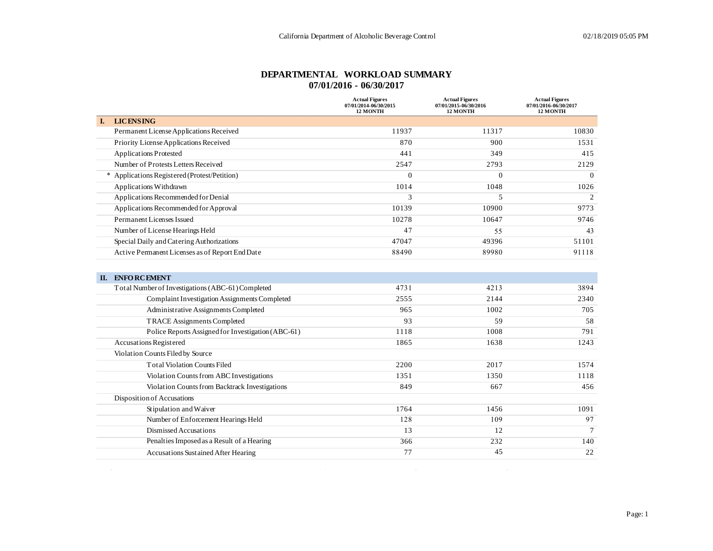#### **DEPARTMENTAL WORKLOAD SUMMARY 07/01/2016 - 06/30/2017**

|                                                 | <b>Actual Figures</b><br>07/01/2014-06/30/2015<br><b>12 MONTH</b> | <b>Actual Figures</b><br>07/01/2015-06/30/2016<br><b>12 MONTH</b> | <b>Actual Figures</b><br>07/01/2016-06/30/2017<br><b>12 MONTH</b> |
|-------------------------------------------------|-------------------------------------------------------------------|-------------------------------------------------------------------|-------------------------------------------------------------------|
| <b>LICENSING</b><br>L.                          |                                                                   |                                                                   |                                                                   |
| Permanent License Applications Received         | 11937                                                             | 11317                                                             | 10830                                                             |
| Priority License Applications Received          | 870                                                               | 900                                                               | 1531                                                              |
| <b>Applications Protested</b>                   | 441                                                               | 349                                                               | 415                                                               |
| Number of Protests Letters Received             | 2547                                                              | 2793                                                              | 2129                                                              |
| * Applications Registered (Protest/Petition)    | $\Omega$                                                          | $\overline{0}$                                                    | $\Omega$                                                          |
| Applications Withdrawn                          | 1014                                                              | 1048                                                              | 1026                                                              |
| Applications Recommended for Denial             | 3                                                                 | 5                                                                 | 2                                                                 |
| Applications Recommended for Approval           | 10139                                                             | 10900                                                             | 9773                                                              |
| Permanent Licenses Issued                       | 10278                                                             | 10647                                                             | 9746                                                              |
| Number of License Hearings Held                 | 47                                                                | 55                                                                | 43                                                                |
| Special Daily and Catering Authorizations       | 47047                                                             | 49396                                                             | 51101                                                             |
| Active Permanent Licenses as of Report End Date | 88490                                                             | 89980                                                             | 91118                                                             |

| П. | <b>ENFORCEMENT</b>                                 |      |      |      |
|----|----------------------------------------------------|------|------|------|
|    | Total Number of Investigations (ABC-61) Completed  | 4731 | 4213 | 3894 |
|    | Complaint Investigation Assignments Completed      | 2555 | 2144 | 2340 |
|    | Administrative Assignments Completed               | 965  | 1002 | 705  |
|    | <b>TRACE Assignments Completed</b>                 | 93   | 59   | 58   |
|    | Police Reports Assigned for Investigation (ABC-61) | 1118 | 1008 | 791  |
|    | <b>Accusations Registered</b>                      | 1865 | 1638 | 1243 |
|    | Violation Counts Filed by Source                   |      |      |      |
|    | <b>Total Violation Counts Filed</b>                | 2200 | 2017 | 1574 |
|    | Violation Counts from ABC Investigations           | 1351 | 1350 | 1118 |
|    | Violation Counts from Backtrack Investigations     | 849  | 667  | 456  |
|    | Disposition of Accusations                         |      |      |      |
|    | Stipulation and Waiver                             | 1764 | 1456 | 1091 |
|    | Number of Enforcement Hearings Held                | 128  | 109  | 97   |
|    | Dismissed Accusations                              | 13   | 12   |      |
|    | Penalties Imposed as a Result of a Hearing         | 366  | 232  | 140  |
|    | <b>Accusations Sustained After Hearing</b>         | 77   | 45   | 22   |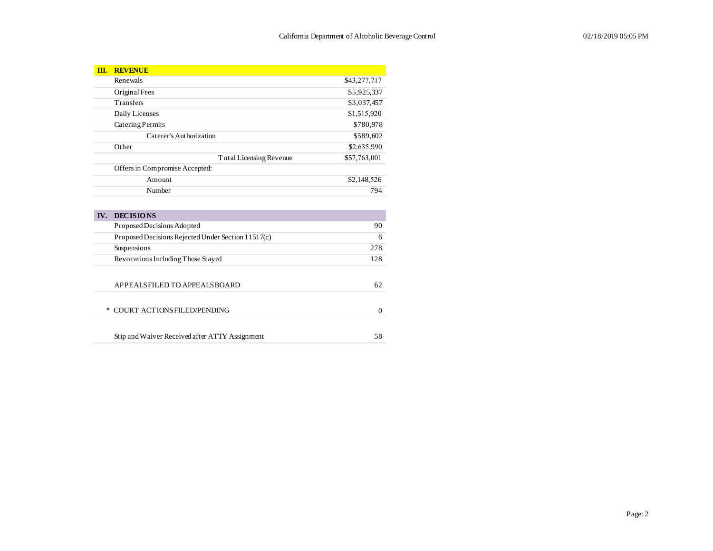| III.   | <b>REVENUE</b>                                     |              |
|--------|----------------------------------------------------|--------------|
|        | Renewals                                           | \$43,277,717 |
|        | Original Fees                                      | \$5,925,337  |
|        | Transfers                                          | \$3,037,457  |
|        | Daily Licenses                                     | \$1,515,920  |
|        | Catering Permits                                   | \$780,978    |
|        | Caterer's Authorization                            | \$589,602    |
|        | Other                                              | \$2,635,990  |
|        | Total Licensing Revenue                            | \$57,763,001 |
|        | Offers in Compromise Accepted:                     |              |
|        | Amount                                             | \$2,148,526  |
|        | Number                                             | 794          |
|        |                                                    |              |
| IV.    | <b>DECISIONS</b>                                   |              |
|        | Proposed Decisions Adopted                         | 90           |
|        | Proposed Decisions Rejected Under Section 11517(c) | 6            |
|        | Suspensions                                        | 278          |
|        | Revocations Including Those Stayed                 | 128          |
|        |                                                    |              |
|        | APPEALSFILED TO APPEALS BOARD                      | 62           |
|        |                                                    |              |
| $\ast$ | <b>COURT ACTIONS FILED/PENDING</b>                 | $\mathbf{0}$ |
|        |                                                    |              |
|        | Stip and Waiver Received after ATTY Assignment     | 58           |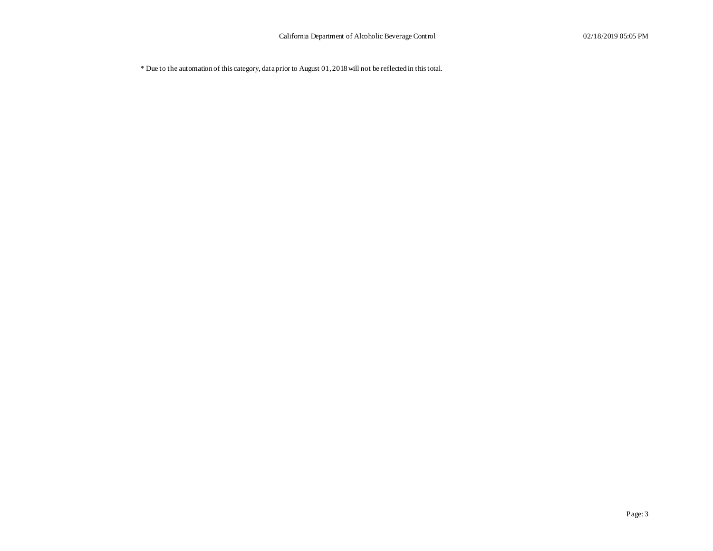\* Due to the automation of this category, data prior to August 01, 2018 will not be reflected in this total.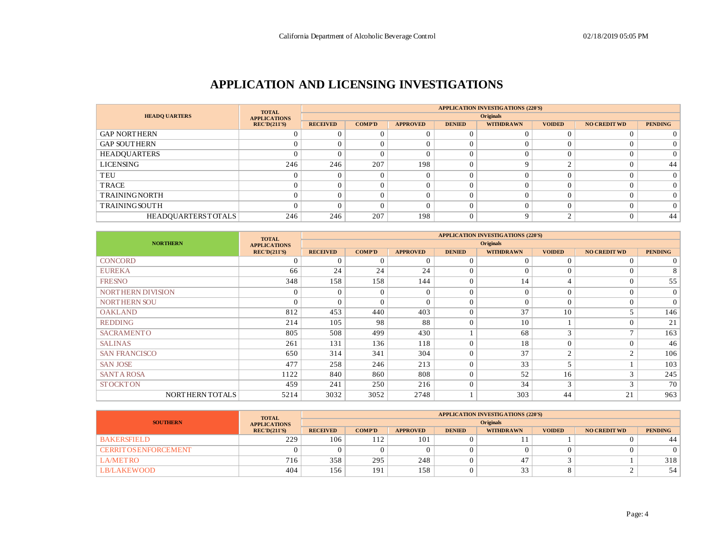## **APPLICATION AND LICENSING INVESTIGATIONS**

|                           | <b>TOTAL</b>        |                 |                  |                 |               | <b>APPLICATION INVESTIGATIONS (220'S)</b> |               |                     |                |  |  |  |
|---------------------------|---------------------|-----------------|------------------|-----------------|---------------|-------------------------------------------|---------------|---------------------|----------------|--|--|--|
| <b>HEADO UARTERS</b>      | <b>APPLICATIONS</b> |                 | <b>Originals</b> |                 |               |                                           |               |                     |                |  |  |  |
|                           | RECD(211'S)         | <b>RECEIVED</b> | <b>COMP'D</b>    | <b>APPROVED</b> | <b>DENIED</b> | <b>WITHDRAWN</b>                          | <b>VOIDED</b> | <b>NO CREDIT WD</b> | <b>PENDING</b> |  |  |  |
| <b>GAP NORTHERN</b>       |                     |                 |                  | $\Omega$        |               |                                           |               |                     |                |  |  |  |
| <b>GAP SOUTHERN</b>       |                     |                 |                  | $\Omega$        |               |                                           |               |                     |                |  |  |  |
| HEADQUARTERS              |                     |                 |                  | $\Omega$        |               |                                           |               |                     | $\Omega$       |  |  |  |
| <b>LICENSING</b>          | 246                 | 246             | 207              | 198             |               |                                           |               |                     | 44             |  |  |  |
| TEU                       |                     |                 |                  | $\Omega$        |               |                                           |               |                     | $\Omega$       |  |  |  |
| TRACE                     |                     |                 |                  | $\Omega$        |               |                                           |               |                     | 0              |  |  |  |
| <b>TRAININGNORTH</b>      |                     |                 |                  |                 |               |                                           |               |                     |                |  |  |  |
| <b>TRAININGSOUTH</b>      |                     |                 |                  |                 |               |                                           |               |                     |                |  |  |  |
| <b>HEADQUARTERSTOTALS</b> | 246                 | 246             | 207              | 198             |               |                                           |               |                     | 44             |  |  |  |

|                      | <b>TOTAL</b>        | <b>APPLICATION INVESTIGATIONS (220'S)</b> |               |                 |                |                  |                          |                     |                |
|----------------------|---------------------|-------------------------------------------|---------------|-----------------|----------------|------------------|--------------------------|---------------------|----------------|
| <b>NORTHERN</b>      | <b>APPLICATIONS</b> |                                           |               |                 |                | <b>Originals</b> |                          |                     |                |
|                      | REC'D(211'S)        | <b>RECEIVED</b>                           | <b>COMP'D</b> | <b>APPROVED</b> | <b>DENIED</b>  | <b>WITHDRAWN</b> | <b>VOIDED</b>            | <b>NO CREDIT WD</b> | <b>PENDING</b> |
| <b>CONCORD</b>       | $\sqrt{ }$          | $\Omega$                                  | $\Omega$      | $\Omega$        | $\Omega$       | $\Omega$         | $\Omega$                 | $\Omega$            | $\overline{0}$ |
| <b>EUREKA</b>        | 66                  | 24                                        | 24            | 24              | $\Omega$       | $\Omega$         | $\Omega$                 | $\Omega$            | 8              |
| <b>FRESNO</b>        | 348                 | 158                                       | 158           | 144             | $\overline{0}$ | 14               | $\overline{4}$           | $\Omega$            | 55             |
| NORTHERN DIVISION    | $\Omega$            | $\Omega$                                  | $\Omega$      | $\Omega$        | $\Omega$       | $\Omega$         | $\Omega$                 | $\Omega$            | $\overline{0}$ |
| <b>NORTHERN SOU</b>  | $\sqrt{ }$          | $\Omega$                                  | $\Omega$      | $\Omega$        | $\Omega$       | $\Omega$         | $\Omega$                 | $\Omega$            | $\overline{0}$ |
| <b>OAKLAND</b>       | 812                 | 453                                       | 440           | 403             | $\Omega$       | 37               | 10                       | 5                   | 146            |
| <b>REDDING</b>       | 214                 | 105                                       | 98            | 88              | $\theta$       | 10               |                          | $\Omega$            | 21             |
| <b>SACRAMENTO</b>    | 805                 | 508                                       | 499           | 430             |                | 68               | 3                        | $\mathbf{r}$        | 163            |
| <b>SALINAS</b>       | 261                 | 131                                       | 136           | 118             | $\overline{0}$ | 18               | $\Omega$                 | $\Omega$            | 46             |
| <b>SAN FRANCISCO</b> | 650                 | 314                                       | 341           | 304             | $\overline{0}$ | 37               | $\mathcal{L}$            | $\mathcal{D}$       | 106            |
| <b>SAN JOSE</b>      | 477                 | 258                                       | 246           | 213             | $\Omega$       | 33               | $\overline{\phantom{0}}$ |                     | 103            |
| <b>SANTA ROSA</b>    | 1122                | 840                                       | 860           | 808             | $\overline{0}$ | 52               | 16                       | 3                   | 245            |
| <b>STOCKTON</b>      | 459                 | 241                                       | 250           | 216             | $\mathbf{0}$   | 34               | 3                        | 3                   | 70             |
| NORTHERN TOTALS      | 5214                | 3032                                      | 3052          | 2748            |                | 303              | 44                       | 21                  | 963            |

|                              | <b>TOTAL</b>        | <b>APPLICATION INVESTIGATIONS (220'S)</b> |                  |               |                  |               |                     |                |     |  |  |  |  |
|------------------------------|---------------------|-------------------------------------------|------------------|---------------|------------------|---------------|---------------------|----------------|-----|--|--|--|--|
| <b>SOUTHERN</b>              | <b>APPLICATIONS</b> |                                           | <b>Originals</b> |               |                  |               |                     |                |     |  |  |  |  |
|                              | <b>RECEIVED</b>     | <b>COMP'D</b>                             | <b>APPROVED</b>  | <b>DENIED</b> | <b>WITHDRAWN</b> | <b>VOIDED</b> | <b>NO CREDIT WD</b> | <b>PENDING</b> |     |  |  |  |  |
| <b>BAKERSFIELD</b>           | 229                 | 106                                       | 112              | 101           |                  |               |                     |                | 44  |  |  |  |  |
| <b>CERRIT OS ENFORCEMENT</b> |                     |                                           |                  |               |                  |               |                     |                |     |  |  |  |  |
| <b>LA/METRO</b>              | $716_{1}$           | 358                                       | 295              | 248           |                  |               |                     |                | 318 |  |  |  |  |
| <b>LB/LAKEWOOD</b>           | 404                 | 156                                       | 191              | 158           |                  | $\sim$<br>ر ر |                     |                | 54  |  |  |  |  |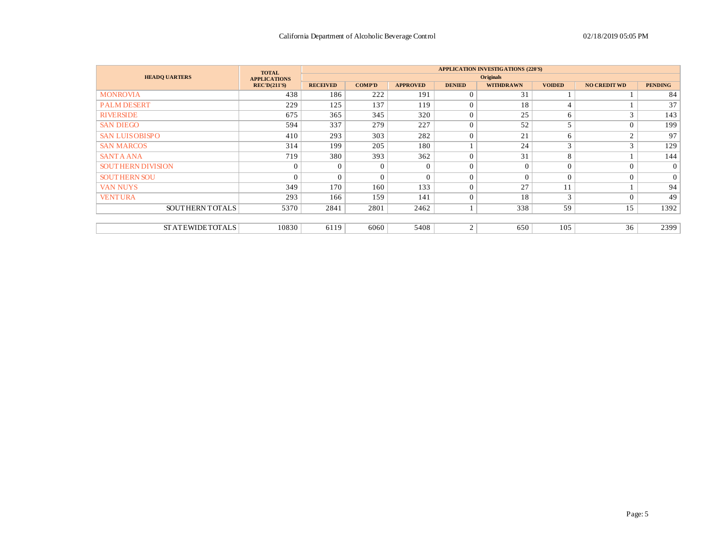|                          | <b>TOTAL</b>        |                 |               |                 |                | <b>APPLICATION INVESTIGATIONS (220'S)</b> |                |                     |                |
|--------------------------|---------------------|-----------------|---------------|-----------------|----------------|-------------------------------------------|----------------|---------------------|----------------|
| <b>HEADO UARTERS</b>     | <b>APPLICATIONS</b> |                 |               |                 |                | <b>Originals</b>                          |                |                     |                |
|                          | <b>REC'D(211'S)</b> | <b>RECEIVED</b> | <b>COMP'D</b> | <b>APPROVED</b> | <b>DENIED</b>  | <b>WITHDRAWN</b>                          | <b>VOIDED</b>  | <b>NO CREDIT WD</b> | <b>PENDING</b> |
| <b>MONROVIA</b>          | 438                 | 186             | 222           | 191             | $\Omega$       | 31                                        |                |                     | 84             |
| <b>PALM DESERT</b>       | 229                 | 125             | 137           | 119             | $\mathbf{0}$   | 18                                        | $\overline{4}$ |                     | 37             |
| <b>RIVERSIDE</b>         | 675                 | 365             | 345           | 320             | $\overline{0}$ | 25                                        | 6              | 3                   | 143            |
| <b>SAN DIEGO</b>         | 594                 | 337             | 279           | 227             | $\overline{0}$ | 52                                        | 5              | $\Omega$            | 199            |
| <b>SAN LUISOBISPO</b>    | 410                 | 293             | 303           | 282             | $\Omega$       | 21                                        | 6              | $\mathfrak{2}$      | 97             |
| <b>SAN MARCOS</b>        | 314                 | 199             | 205           | 180             |                | 24                                        | 3              | 3                   | 129            |
| <b>SANTA ANA</b>         | 719                 | 380             | 393           | 362             | $\Omega$       | 31                                        | 8              |                     | 144            |
| <b>SOUTHERN DIVISION</b> | $\sqrt{ }$          | $\Omega$        | $\theta$      | $\Omega$        | $\theta$       |                                           | $\Omega$       | $\Omega$            | $\overline{0}$ |
| <b>SOUTHERN SOU</b>      | $\Omega$            | $\Omega$        | $\Omega$      | $\Omega$        | $\overline{0}$ | $\Omega$                                  | $\theta$       | $\Omega$            | $\overline{0}$ |
| <b>VAN NUYS</b>          | 349                 | 170             | 160           | 133             | $\theta$       | 27                                        | 11             |                     | 94             |
| <b>VENTURA</b>           | 293                 | 166             | 159           | 141             | $\theta$       | 18                                        | $\mathbf{3}$   | $\Omega$            | 49             |
| <b>SOUTHERNTOTALS</b>    | 5370                | 2841            | 2801          | 2462            |                | 338                                       | 59             | 15                  | 1392           |
|                          |                     |                 |               |                 |                |                                           |                |                     |                |
| <b>STATEWIDETOTALS</b>   | 10830               | 6119            | 6060          | 5408            | $\overline{2}$ | 650                                       | 105            | 36                  | 2399           |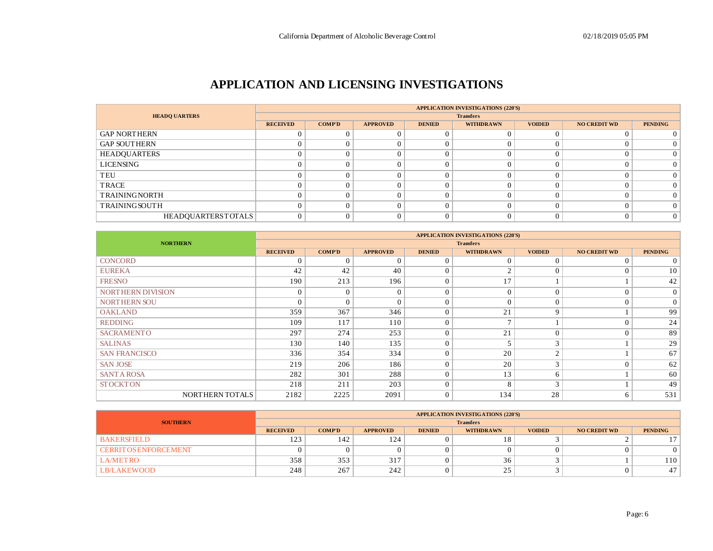## **APPLICATION AND LICENSING INVESTIGATIONS**

|                           |                 |               |                 |               | <b>APPLICATION INVESTIGATIONS (220'S)</b> |               |                     |                |
|---------------------------|-----------------|---------------|-----------------|---------------|-------------------------------------------|---------------|---------------------|----------------|
| <b>HEADQ UARTERS</b>      |                 |               |                 |               | <b>Transfers</b>                          |               |                     |                |
|                           | <b>RECEIVED</b> | <b>COMP'D</b> | <b>APPROVED</b> | <b>DENIED</b> | <b>WITHDRAWN</b>                          | <b>VOIDED</b> | <b>NO CREDIT WD</b> | <b>PENDING</b> |
| <b>GAP NORTHERN</b>       |                 |               |                 |               |                                           |               |                     |                |
| <b>GAP SOUTHERN</b>       |                 |               |                 |               |                                           |               |                     | 0              |
| HEADQUARTERS              |                 |               |                 |               |                                           |               |                     | $\Omega$       |
| LICENSING                 |                 |               |                 |               |                                           |               |                     | $\Omega$       |
| TEU                       |                 |               |                 |               |                                           |               |                     | $\Omega$       |
| TRACE                     |                 |               |                 |               |                                           |               |                     | $\Omega$       |
| <b>TRAININGNORTH</b>      |                 |               |                 |               |                                           |               |                     | $\Omega$       |
| <b>TRAININGSOUTH</b>      |                 | $\Omega$      |                 |               |                                           |               |                     | $\Omega$       |
| <b>HEADOUARTERSTOTALS</b> |                 |               |                 |               |                                           |               |                     | $\overline{0}$ |

|                      |                 |                |                 |               | <b>APPLICATION INVESTIGATIONS (220'S)</b> |               |                     |                |
|----------------------|-----------------|----------------|-----------------|---------------|-------------------------------------------|---------------|---------------------|----------------|
| <b>NORTHERN</b>      |                 |                |                 |               | <b>Transfers</b>                          |               |                     |                |
|                      | <b>RECEIVED</b> | <b>COMP'D</b>  | <b>APPROVED</b> | <b>DENIED</b> | <b>WITHDRAWN</b>                          | <b>VOIDED</b> | <b>NO CREDIT WD</b> | <b>PENDING</b> |
| <b>CONCORD</b>       | $\Omega$        | $\Omega$       | $\Omega$        | $\Omega$      | $\Omega$                                  | $\Omega$      | $\Omega$            | $\overline{0}$ |
| <b>EUREKA</b>        | 42              | 42             | 40              | $\Omega$      | $\mathcal{L}$                             |               | $\overline{0}$      | 10             |
| <b>FRESNO</b>        | 190             | 213            | 196             | $\Omega$      | 17                                        |               |                     | 42             |
| NORTHERN DIVISION    | $\overline{0}$  | $\overline{0}$ | $\Omega$        | $\Omega$      | $\Omega$                                  | $\Omega$      | $\Omega$            | $\overline{0}$ |
| <b>NORTHERN SOU</b>  | $\Omega$        | $\Omega$       | $\Omega$        | $\Omega$      | $\Omega$                                  | $\Omega$      | $\overline{0}$      | $\overline{0}$ |
| <b>OAKLAND</b>       | 359             | 367            | 346             | $\Omega$      | 21                                        | $\mathbf Q$   |                     | 99             |
| <b>REDDING</b>       | 109             | 117            | 110             | 0             |                                           |               | $\Omega$            | 24             |
| <b>SACRAMENTO</b>    | 297             | 274            | 253             | $\Omega$      | 21                                        | $\Omega$      | $\overline{0}$      | 89             |
| <b>SALINAS</b>       | 130             | 140            | 135             | $\Omega$      |                                           | $\rightarrow$ |                     | 29             |
| <b>SAN FRANCISCO</b> | 336             | 354            | 334             | $\Omega$      | 20                                        | $\sim$        |                     | 67             |
| <b>SAN JOSE</b>      | 219             | 206            | 186             | $\Omega$      | 20                                        | $\sim$        | $\Omega$            | 62             |
| <b>SANTA ROSA</b>    | 282             | 301            | 288             | $\Omega$      | 13                                        | 6             |                     | 60             |
| <b>STOCKTON</b>      | 218             | 211            | 203             | $\Omega$      | 8                                         | $\sim$        |                     | 49             |
| NORTHERN TOTALS      | 2182            | 2225           | 2091            | $\Omega$      | 134                                       | 28            | 6                   | 531            |

|                              | <b>APPLICATION INVESTIGATIONS (220'S)</b> |               |                 |               |                  |               |                     |                |  |  |  |
|------------------------------|-------------------------------------------|---------------|-----------------|---------------|------------------|---------------|---------------------|----------------|--|--|--|
| <b>SOUTHERN</b>              | <b>Transfers</b>                          |               |                 |               |                  |               |                     |                |  |  |  |
|                              | <b>RECEIVED</b>                           | <b>COMP'D</b> | <b>APPROVED</b> | <b>DENIED</b> | <b>WITHDRAWN</b> | <b>VOIDED</b> | <b>NO CREDIT WD</b> | <b>PENDING</b> |  |  |  |
| <b>BAKERSFIELD</b>           | 123                                       | 142           | 124             |               | 10               |               |                     |                |  |  |  |
| <b>CERRIT OS ENFORCEMENT</b> |                                           | 0             |                 |               |                  |               |                     |                |  |  |  |
| <b>LA/METRO</b>              | 358                                       | 353           | 317             |               | 36               |               |                     | 110            |  |  |  |
| <b>LB/LAKEWOOD</b>           | 248                                       | 267           | 242             |               | ົ<br>ر_          |               |                     | 47             |  |  |  |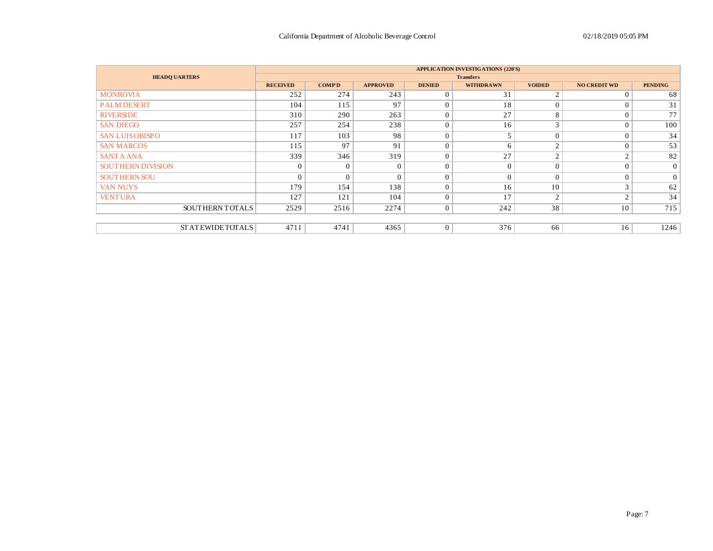|                          |                 |                |                 |                | <b>APPLICATION INVESTIGATIONS (220'S)</b> |               |                     |                 |
|--------------------------|-----------------|----------------|-----------------|----------------|-------------------------------------------|---------------|---------------------|-----------------|
| <b>HEADQ UARTERS</b>     |                 |                |                 |                | <b>Transfers</b>                          |               |                     |                 |
|                          | <b>RECEIVED</b> | <b>COMP'D</b>  | <b>APPROVED</b> | <b>DENIED</b>  | <b>WITHDRAWN</b>                          | <b>VOIDED</b> | <b>NO CREDIT WD</b> | <b>PENDING</b>  |
| <b>MONROVIA</b>          | 252             | 274            | 243             | $\Omega$       | 31                                        | $\mathcal{L}$ | $\Omega$            | 68              |
| <b>PALM DESERT</b>       | 104             | 115            | 97              | $\Omega$       | 18                                        | $\Omega$      | $\Omega$            | 31              |
| <b>RIVERSIDE</b>         | 310             | 290            | 263             | $\Omega$       | 27                                        | 8             | $\Omega$            | 77              |
| <b>SAN DIEGO</b>         | 257             | 254            | 238             | $\Omega$       | 16                                        | 3             | $\overline{0}$      | 100             |
| <b>SAN LUISOBISPO</b>    | 117             | 103            | 98              | $\Omega$       |                                           | $\Omega$      | $\overline{0}$      | 34              |
| <b>SAN MARCOS</b>        | 115             | 97             | 91              | $\Omega$       | 6                                         | $\sim$        | $\Omega$            | 53              |
| <b>SANTA ANA</b>         | 339             | 346            | 319             | $\Omega$       | 27                                        | $\sim$        | 2                   | 82              |
| <b>SOUTHERN DIVISION</b> | $\mathbf{0}$    | $\mathbf{0}$   | $\Omega$        | $\Omega$       | $\Omega$                                  | $\Omega$      | $\theta$            | $\vert 0 \vert$ |
| <b>SOUTHERN SOU</b>      | $\overline{0}$  | $\overline{0}$ | $\Omega$        | $\Omega$       | $\Omega$                                  | $\Omega$      | $\mathbf{0}$        | $\overline{0}$  |
| <b>VAN NUYS</b>          | 179             | 154            | 138             | $\Omega$       | 16                                        | 10            | 3                   | 62              |
| <b>VENTURA</b>           | 127             | 121            | 104             | $\Omega$       | 17                                        | $\sim$        | 2                   | 34              |
| SOUTHERN TOTALS          | 2529            | 2516           | 2274            | $\overline{0}$ | 242                                       | 38            | 10                  | 715             |
|                          |                 |                |                 |                |                                           |               |                     |                 |
| <b>STATEWIDETOTALS</b>   | 4711            | 4741           | 4365            | $\overline{0}$ | 376                                       | 66            | 16                  | 1246            |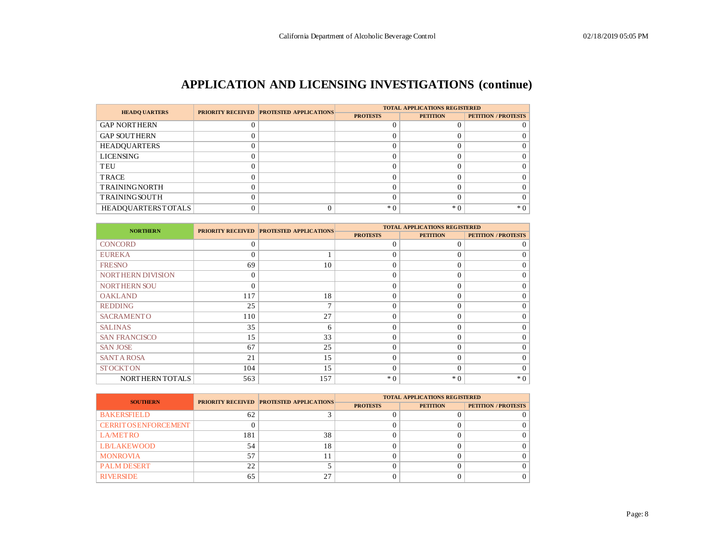# **APPLICATION AND LICENSING INVESTIGATIONS (continue)**

| <b>HEADO UARTERS</b>      | <b>PRIORITY RECEIVED PROTESTED APPLICATIONS</b> | <b>TOTAL APPLICATIONS REGISTERED</b> |                 |                            |  |  |  |
|---------------------------|-------------------------------------------------|--------------------------------------|-----------------|----------------------------|--|--|--|
|                           |                                                 | <b>PROTESTS</b>                      | <b>PETITION</b> | <b>PETITION / PROTESTS</b> |  |  |  |
| <b>GAP NORTHERN</b>       |                                                 |                                      |                 |                            |  |  |  |
| <b>GAP SOUTHERN</b>       |                                                 |                                      |                 |                            |  |  |  |
| <b>HEADQUARTERS</b>       |                                                 |                                      |                 |                            |  |  |  |
| <b>LICENSING</b>          |                                                 |                                      |                 |                            |  |  |  |
| TEU                       |                                                 |                                      |                 |                            |  |  |  |
| <b>TRACE</b>              |                                                 |                                      |                 |                            |  |  |  |
| <b>TRAININGNORTH</b>      |                                                 |                                      |                 |                            |  |  |  |
| <b>TRAINING SOUTH</b>     |                                                 |                                      |                 |                            |  |  |  |
| <b>HEADOUARTERSTOTALS</b> |                                                 | $*$ 0                                | $*0$            | $*0$                       |  |  |  |

| <b>NORTHERN</b>          |          | <b>PRIORITY RECEIVED PROTESTED APPLICATIONS</b> |                 | <b>TOTAL APPLICATIONS REGISTERED</b> |                            |
|--------------------------|----------|-------------------------------------------------|-----------------|--------------------------------------|----------------------------|
|                          |          |                                                 | <b>PROTESTS</b> | <b>PETITION</b>                      | <b>PETITION / PROTESTS</b> |
| <b>CONCORD</b>           | $\Omega$ |                                                 | $\Omega$        | $\Omega$                             | $\Omega$                   |
| <b>EUREKA</b>            | $\Omega$ |                                                 | $\Omega$        | $\Omega$                             | $\Omega$                   |
| <b>FRESNO</b>            | 69       | 10                                              | $\Omega$        | $\Omega$                             | $\Omega$                   |
| <b>NORTHERN DIVISION</b> | $\Omega$ |                                                 | $\Omega$        | $\Omega$                             | $\Omega$                   |
| <b>NORTHERN SOU</b>      | $\Omega$ |                                                 | $\Omega$        | $\Omega$                             | $\Omega$                   |
| <b>OAKLAND</b>           | 117      | 18                                              | $\Omega$        | $\Omega$                             | $\Omega$                   |
| <b>REDDING</b>           | 25       | 7                                               | $\Omega$        | $\Omega$                             | $\Omega$                   |
| <b>SACRAMENTO</b>        | 110      | 27                                              | $\Omega$        | $\theta$                             | $\Omega$                   |
| <b>SALINAS</b>           | 35       | 6                                               | $\Omega$        | $\theta$                             | $\Omega$                   |
| <b>SAN FRANCISCO</b>     | 15       | 33                                              | $\Omega$        | $\Omega$                             | $\Omega$                   |
| <b>SAN JOSE</b>          | 67       | 25                                              | $\Omega$        | $\Omega$                             | $\Omega$                   |
| <b>SANT A ROSA</b>       | 21       | 15                                              | $\Omega$        | $\Omega$                             | $\Omega$                   |
| <b>STOCKTON</b>          | 104      | 15                                              | $\Omega$        | $\Omega$                             | $\Omega$                   |
| NORTHERN TOTALS          | 563      | 157                                             | $*0$            | $*0$                                 | $*0$                       |

| <b>SOUTHERN</b>              |     | <b>PRIORITY RECEIVED PROTESTED APPLICATIONS</b> | <b>TOTAL APPLICATIONS REGISTERED</b> |                 |                            |  |  |  |  |
|------------------------------|-----|-------------------------------------------------|--------------------------------------|-----------------|----------------------------|--|--|--|--|
|                              |     |                                                 | <b>PROTESTS</b>                      | <b>PETITION</b> | <b>PETITION / PROTESTS</b> |  |  |  |  |
| <b>BAKERSFIELD</b>           | 62  |                                                 |                                      |                 |                            |  |  |  |  |
| <b>CERRIT OS ENFORCEMENT</b> |     |                                                 |                                      |                 |                            |  |  |  |  |
| <b>LA/METRO</b>              | 181 | 38                                              |                                      |                 |                            |  |  |  |  |
| <b>LB/LAKEWOOD</b>           | 54  | 18                                              |                                      |                 |                            |  |  |  |  |
| <b>MONROVIA</b>              | 57  |                                                 |                                      |                 |                            |  |  |  |  |
| <b>PALM DESERT</b>           | 22  |                                                 |                                      |                 |                            |  |  |  |  |
| <b>RIVERSIDE</b>             | 65  | 27                                              |                                      |                 |                            |  |  |  |  |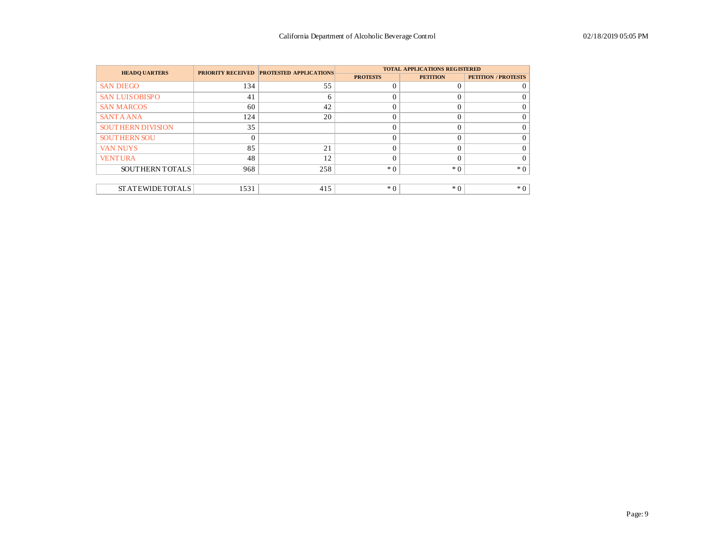| <b>HEADO UARTERS</b>     |      | <b>PRIORITY RECEIVED PROTESTED APPLICATIONS</b> |                 | <b>TOTAL APPLICATIONS REGISTERED</b> |                            |
|--------------------------|------|-------------------------------------------------|-----------------|--------------------------------------|----------------------------|
|                          |      |                                                 | <b>PROTESTS</b> | <b>PETITION</b>                      | <b>PETITION / PROTESTS</b> |
| <b>SAN DIEGO</b>         | 134  | 55                                              |                 | $\Omega$                             |                            |
| <b>SAN LUISOBISPO</b>    | 41   | 6                                               |                 | $\Omega$                             |                            |
| <b>SAN MARCOS</b>        | 60   | 42                                              |                 | $\Omega$                             |                            |
| <b>SANTA ANA</b>         | 124  | 20                                              |                 | $\theta$                             |                            |
| <b>SOUTHERN DIVISION</b> | 35   |                                                 |                 | $\Omega$                             |                            |
| <b>SOUTHERN SOU</b>      |      |                                                 |                 | $\Omega$                             |                            |
| <b>VAN NUYS</b>          | 85   | 21                                              |                 | $\Omega$                             |                            |
| <b>VENTURA</b>           | 48   | 12                                              |                 | $\Omega$                             |                            |
| SOUTHERN TOTALS          | 968  | 258                                             | $*$ 0           | $*0$                                 | $*0$                       |
|                          |      |                                                 |                 |                                      |                            |
| <b>STATEWIDETOTALS</b>   | 1531 | 415                                             | $*$ 0           | $*$ 0                                | $*0$                       |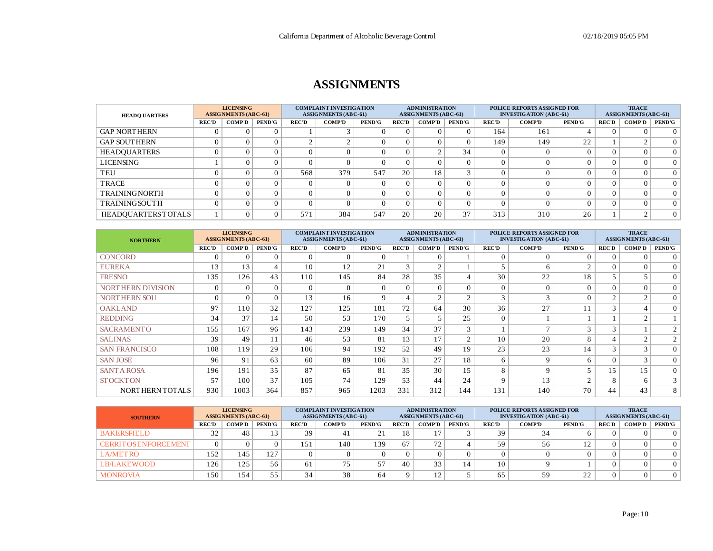## **ASSIGNMENTS**

| <b>HEADO UARTERS</b>      |              | <b>LICENSING</b><br><b>ASSIGNMENTS (ABC-61)</b> |               | <b>COMPLAINT INVESTIGATION</b><br><b>ASSIGNMENTS (ABC-61)</b> |               |               | <b>ADMINISTRATION</b><br><b>ASSIGNMENTS (ABC-61)</b> |               |               | <b>POLICE REPORTS ASSIGNED FOR</b><br><b>INVESTIGATION (ABC-61)</b> |        |               |              | <b>TRACE</b><br><b>ASSIGNMENTS (ABC-61)</b> |               |  |
|---------------------------|--------------|-------------------------------------------------|---------------|---------------------------------------------------------------|---------------|---------------|------------------------------------------------------|---------------|---------------|---------------------------------------------------------------------|--------|---------------|--------------|---------------------------------------------|---------------|--|
|                           | <b>REC'D</b> | <b>COMP'D</b>                                   | <b>PEND'G</b> | <b>REC'D</b>                                                  | <b>COMP'D</b> | <b>PEND'G</b> | <b>REC'D</b>                                         | <b>COMP'D</b> | <b>PEND'G</b> | <b>REC'D</b>                                                        | COMP'D | <b>PEND'G</b> | <b>REC'D</b> | <b>COMP'D</b>                               | <b>PEND'G</b> |  |
| <b>GAP NORTHERN</b>       |              |                                                 |               |                                                               |               |               |                                                      |               | 0             | 164                                                                 | 161    |               |              |                                             | $\Omega$      |  |
| <b>GAP SOUTHERN</b>       |              |                                                 |               |                                                               | $\sim$        |               |                                                      |               | 0             | 149                                                                 | 149    | 22            |              |                                             | $\Omega$      |  |
| <b>HEADQUARTERS</b>       |              |                                                 |               |                                                               | $\Omega$      |               |                                                      | $\sim$        | 34            |                                                                     |        |               |              |                                             | $\Omega$      |  |
| LICENSING                 |              |                                                 |               |                                                               | $\Omega$      |               |                                                      |               | $\Omega$      |                                                                     |        |               |              |                                             | $\Omega$      |  |
| TEU                       |              |                                                 |               | 568                                                           | 379           | 547           | 20                                                   | 18            |               |                                                                     |        |               |              |                                             | $\Omega$      |  |
| TRACE                     |              |                                                 |               |                                                               | $\Omega$      |               |                                                      |               | 0             |                                                                     |        |               |              |                                             | $\Omega$      |  |
| <b>TRAININGNORTH</b>      |              |                                                 |               |                                                               | $\Omega$      |               |                                                      |               | $\Omega$      |                                                                     |        |               |              |                                             | $\Omega$      |  |
| <b>TRAINING SOUTH</b>     |              |                                                 |               |                                                               | $\Omega$      |               |                                                      |               | $\Omega$      |                                                                     |        |               |              |                                             | $\Omega$      |  |
| <b>HEADOUARTERSTOTALS</b> |              |                                                 |               | 571                                                           | 384           | 547           | 20                                                   | 20            | 37            | 313                                                                 | 310    | 26            |              |                                             | $\Omega$      |  |

| <b>NORTHERN</b>          |              | <b>LICENSING</b><br><b>ASSIGNMENTS (ABC-61)</b> |               | <b>COMPLAINT INVESTIGATION</b><br><b>ASSIGNMENTS (ABC-61)</b> |               |               |              | <b>ADMINISTRATION</b><br><b>ASSIGNMENTS (ABC-61)</b> |               |              | <b>POLICE REPORTS ASSIGNED FOR</b><br><b>INVESTIGATION (ABC-61)</b> |               | <b>TRACE</b><br><b>ASSIGNMENTS (ABC-61)</b> |                |                   |
|--------------------------|--------------|-------------------------------------------------|---------------|---------------------------------------------------------------|---------------|---------------|--------------|------------------------------------------------------|---------------|--------------|---------------------------------------------------------------------|---------------|---------------------------------------------|----------------|-------------------|
|                          | <b>REC'D</b> | <b>COMP'D</b>                                   | <b>PEND'G</b> | <b>REC'D</b>                                                  | <b>COMP'D</b> | <b>PEND'G</b> | <b>REC'D</b> | <b>COMP'D</b>                                        | <b>PEND'G</b> | <b>REC'D</b> | <b>COMP'D</b>                                                       | <b>PEND'G</b> | <b>REC'D</b>                                | <b>COMP'D</b>  | <b>PEND'G</b>     |
| <b>CONCORD</b>           | $\sqrt{ }$   | $\Omega$                                        |               | $\Omega$                                                      | $\Omega$      | 0             |              |                                                      |               | $\Omega$     | $\Omega$                                                            |               | $\Omega$                                    | $\Omega$       | $\Omega$          |
| <b>EUREKA</b>            | 13           | 13                                              | 4             | 10                                                            | 12            | 21            | 3            | $\overline{c}$                                       |               | 5            | 6                                                                   | $\sim$        | $\Omega$                                    | $\theta$       | $\overline{0}$    |
| <b>FRESNO</b>            | 135          | 126                                             | 43            | 110                                                           | 145           | 84            | 28           | 35                                                   |               | 30           | 22                                                                  | 18            |                                             | 5              | $\vert$ 0 $\vert$ |
| <b>NORTHERN DIVISION</b> | $\Omega$     | $\Omega$                                        | $\Omega$      | $\Omega$                                                      | $\Omega$      | $\Omega$      | $\Omega$     | $\Omega$                                             | $\Omega$      | $\Omega$     | $\Omega$                                                            |               | $\Omega$                                    | $\Omega$       | $\vert$ 0 $\vert$ |
| <b>NORTHERN SOU</b>      | $\Omega$     |                                                 | $\Omega$      | 13                                                            | 16            | $\mathbf Q$   |              | 2                                                    | $\sim$        | $\sim$<br>3  | $\sim$                                                              |               | $\overline{2}$                              | $\overline{c}$ | $\Omega$          |
| <b>OAKLAND</b>           | 97           | 110                                             | 32            | 127                                                           | 125           | 181           | 72           | 64                                                   | 30            | 36           | 27                                                                  |               | 3                                           | $\overline{4}$ | $\vert$ 0 $\vert$ |
| <b>REDDING</b>           | 34           | 37                                              | 14            | 50                                                            | 53            | 170           | 5            |                                                      | 25            | $\Omega$     |                                                                     |               |                                             | $\sim$         |                   |
| <b>SACRAMENTO</b>        | 155          | 167                                             | 96            | 143                                                           | 239           | 149           | 34           | 37                                                   | 3             |              | $\mathbf{r}$                                                        | $\sim$        | 3                                           |                | $\overline{2}$    |
| <b>SALINAS</b>           | 39           | 49                                              | 11            | 46                                                            | 53            | 81            | 13           | 17                                                   | $\mathcal{L}$ | 10           | 20                                                                  | 8             | $\overline{4}$                              | $\Omega$       | 2                 |
| <b>SAN FRANCISCO</b>     | 108          | 119                                             | 29            | 106                                                           | 94            | 192           | 52           | 49                                                   | 19            | 23           | 23                                                                  | 14            | 3                                           | 3              | 0 <sup>1</sup>    |
| <b>SAN JOSE</b>          | 96           | 91                                              | 63            | 60                                                            | 89            | 106           | 31           | 27                                                   | 18            | 6            | $\mathbf Q$                                                         | 6             | $\Omega$                                    | 3              | 0 <sup>1</sup>    |
| <b>SANT A ROSA</b>       | 196          | 191                                             | 35            | 87                                                            | 65            | 81            | 35           | 30                                                   | 15            | 8            | $\mathbf Q$                                                         |               | 15                                          | 15             | 0 <sup>1</sup>    |
| <b>STOCKTON</b>          | 57           | 100                                             | 37            | 105                                                           | 74            | 129           | 53           | 44                                                   | 24            | $\mathbf Q$  | 13                                                                  | $\sim$        | 8                                           | 6              | 3 <sup>1</sup>    |
| NORTHERN TOTALS          | 930          | 1003                                            | 364           | 857                                                           | 965           | 1203          | 331          | 312                                                  | 144           | 131          | 140                                                                 | 70            | 44                                          | 43             | 8                 |

| <b>SOUTHERN</b>              |              | <b>LICENSING</b><br><b>ASSIGNMENTS (ABC-61)</b> |               | <b>COMPLAINT INVESTIGATION</b><br><b>ASSIGNMENTS (ABC-61)</b> |               |               |              | <b>ADMINISTRATION</b><br><b>ASSIGNMENTS (ABC-61)</b> |               | <b>POLICE REPORTS ASSIGNED FOR</b><br><b>INVESTIGATION (ABC-61)</b> |               |               | <b>TRACE</b><br><b>ASSIGNMENTS (ABC-61)</b> |               |               |
|------------------------------|--------------|-------------------------------------------------|---------------|---------------------------------------------------------------|---------------|---------------|--------------|------------------------------------------------------|---------------|---------------------------------------------------------------------|---------------|---------------|---------------------------------------------|---------------|---------------|
|                              | <b>REC'D</b> | <b>COMP'D</b>                                   | <b>PEND'G</b> | <b>REC'D</b>                                                  | <b>COMP'D</b> | <b>PEND'G</b> | <b>REC'D</b> | <b>COMP'D</b>                                        | <b>PEND'G</b> | <b>REC'D</b>                                                        | <b>COMP'D</b> | <b>PEND'G</b> | <b>REC'D</b>                                | <b>COMP'D</b> | <b>PEND'G</b> |
| <b>BAKERSFIELD</b>           | 32           | 48                                              |               | 39                                                            |               |               |              |                                                      |               | 39                                                                  | 34            |               |                                             |               |               |
| <b>CERRIT OS ENFORCEMENT</b> |              |                                                 |               | $\sim$ 1<br>1.21                                              | 140           | 139           | 67           | 72                                                   |               | 59                                                                  | 56            |               |                                             |               |               |
| LA/METRO                     | 152          | 145                                             | 127           |                                                               |               |               |              |                                                      |               |                                                                     |               |               |                                             |               | 0             |
| <b>LB/LAKEWOOD</b>           | 126          | 125                                             | 56            |                                                               | 75            | 57            | 40           | 33                                                   | $\Delta$      | 10                                                                  |               |               |                                             |               | 0             |
| <b>MONROVIA</b>              | 150          | 154                                             | 55            | 34                                                            | 38            | 64            |              | $\sim$                                               |               | 65                                                                  | 59            | $\sim$<br>∸   |                                             |               | 0             |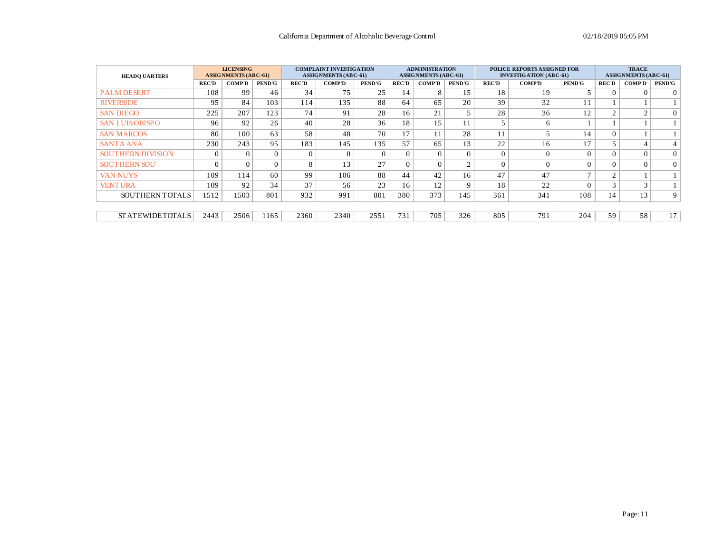| <b>HEADO UARTERS</b>      |              | <b>LICENSING</b><br><b>ASSIGNMENTS (ABC-61)</b> |               | <b>COMPLAINT INVESTIGATION</b><br><b>ASSIGNMENTS (ABC-61)</b> |               |               | <b>ADMINISTRATION</b><br><b>ASSIGNMENTS (ABC-61)</b> |               |               | POLICE REPORTS ASSIGNED FOR<br><b>INVESTIGATION (ABC-61)</b> |               | <b>TRACE</b><br><b>ASSIGNMENTS (ABC-61)</b> |                    |                |                 |
|---------------------------|--------------|-------------------------------------------------|---------------|---------------------------------------------------------------|---------------|---------------|------------------------------------------------------|---------------|---------------|--------------------------------------------------------------|---------------|---------------------------------------------|--------------------|----------------|-----------------|
|                           | <b>REC'D</b> | <b>COMP'D</b>                                   | <b>PEND'G</b> | <b>REC'D</b>                                                  | <b>COMP'D</b> | <b>PEND'G</b> | <b>REC'D</b>                                         | <b>COMP'D</b> | <b>PEND'G</b> | <b>REC'D</b>                                                 | <b>COMP'D</b> | <b>PEND'G</b>                               | <b>REC'D</b>       | <b>COMP'D</b>  | PEND'G          |
| <b>PALM DESERT</b>        | 108          | 99                                              | 46            | 34                                                            | 75            | 25            | 14                                                   | 8             | 15            | 18                                                           | 19            |                                             | $\Omega$           | $\Omega$       | $\Omega$        |
| <b>RIVERSIDE</b>          | 95           | 84                                              | 103           | 114                                                           | 135           | 88            | 64                                                   | 65            | 20            | 39                                                           | 32            |                                             |                    |                |                 |
| <b>SAN DIEGO</b>          | 225          | 207                                             | 123           | 74                                                            | 91            | 28            | 16                                                   | 21            |               | 28                                                           | 36            | 12                                          | $\sim$             | 2              | $\overline{0}$  |
| <b>SAN LUISOBISPO</b>     | 96           | 92                                              | 26            | 40                                                            | 28            | 36            | 18                                                   | 15            | 11            |                                                              | 6             |                                             |                    |                |                 |
| <b>SAN MARCOS</b>         | 80           | 100                                             | 63            | 58                                                            | 48            | 70            | 17                                                   | 11            | 28            | 11                                                           |               | 14                                          | $\Omega$           |                |                 |
| <b>SANTA ANA</b>          | 230          | 243                                             | 95            | 183                                                           | 145           | 135           | 57                                                   | 65            | 13            | 22                                                           | 16            | 17                                          | 5                  | $\overline{4}$ | 4 <sup>1</sup>  |
| <b>SOUT HERN DIVISION</b> | $\Omega$     |                                                 | $\Omega$      | $\Omega$                                                      | $\Omega$      | $\Omega$      | $\Omega$                                             | $\Omega$      | $\Omega$      | $\Omega$                                                     | $\Omega$      | $\Omega$                                    | $\Omega$           | $\Omega$       | $\overline{0}$  |
| <b>SOUTHERN SOU</b>       | $\Omega$     |                                                 | $\Omega$      | 8                                                             | 13            | 27            | $\overline{0}$                                       | $\Omega$      | $\sim$        | $\theta$                                                     | $\Omega$      |                                             | $\Omega$           | $\theta$       | $\Omega$        |
| <b>VAN NUYS</b>           | 109          | 114                                             | 60            | 99                                                            | 106           | 88            | 44                                                   | 42            | 16            | 47                                                           | 47            | $\overline{ }$                              | $\sim$             |                |                 |
| <b>VENTURA</b>            | 109          | 92                                              | 34            | 37                                                            | 56            | 23            | 16                                                   | 12            | $\mathbf{Q}$  | 18                                                           | 22            |                                             | $\sim$<br>$\Delta$ | 3              |                 |
| SOUTHERN TOTALS           | 1512         | 1503                                            | 801           | 932                                                           | 991           | 801           | 380                                                  | 373           | 145           | 361                                                          | 341           | 108                                         | 14                 | 13             | 9 <sup>°</sup>  |
|                           |              |                                                 |               |                                                               |               |               |                                                      |               |               |                                                              |               |                                             |                    |                |                 |
| <b>STATEWIDETOTALS</b>    | 2443         | 2506                                            | 1165          | 2360                                                          | 2340          | 2551          | 731                                                  | 705           | 326           | 805                                                          | 791           | 204                                         | 59                 | 58             | 17 <sup>1</sup> |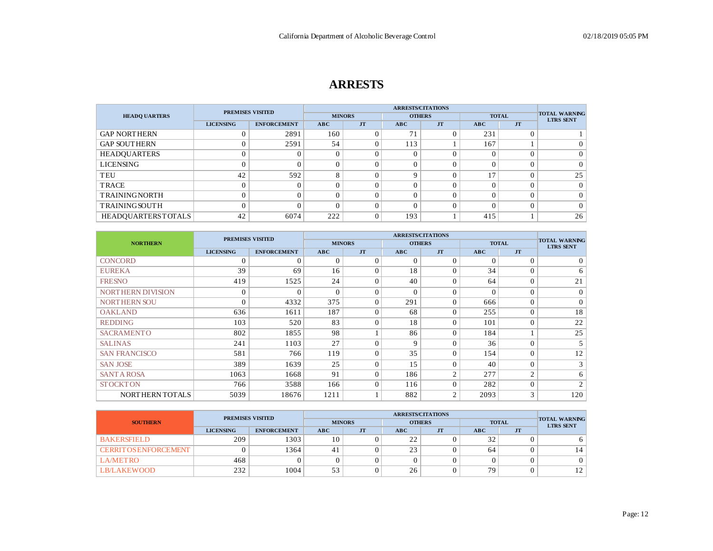#### **ARRESTS**

|                           | <b>PREMISES VISITED</b> |                    |     |               | <b>ARRESTS/CITATIONS</b> |               |          |                |                                          |
|---------------------------|-------------------------|--------------------|-----|---------------|--------------------------|---------------|----------|----------------|------------------------------------------|
| <b>HEADO UARTERS</b>      |                         |                    |     | <b>MINORS</b> |                          | <b>OTHERS</b> |          | <b>TOTAL</b>   | <b>TOTAL WARNING</b><br><b>LTRS SENT</b> |
|                           | <b>LICENSING</b>        | <b>ENFORCEMENT</b> | ABC | <b>JT</b>     | ABC                      | <b>JT</b>     | ABC      | <b>JT</b>      |                                          |
| <b>GAP NORTHERN</b>       |                         | 2891               | 160 |               | 71                       |               | 231      |                |                                          |
| <b>GAP SOUTHERN</b>       | $\theta$                | 2591               | 54  |               | 113                      |               | 167      |                | $\Omega$                                 |
| <b>HEADQUARTERS</b>       | 0                       |                    |     |               |                          |               | 0        | $\overline{0}$ | $\Omega$                                 |
| <b>LICENSING</b>          | 0                       |                    |     |               |                          |               |          | $\overline{0}$ | $\Omega$                                 |
| TEU                       | 42                      | 592                | 8   |               | $\Omega$                 | $\Omega$      | 17       | $\Omega$       | 25                                       |
| <b>TRACE</b>              | $\theta$                |                    | ∩   |               |                          | 0             |          | $\Omega$       | $\Omega$                                 |
| <b>TRAININGNORTH</b>      | $\Omega$                |                    |     |               |                          | 0             | $\Omega$ | $\Omega$       | $\Omega$                                 |
| <b>TRAINING SOUTH</b>     | $\theta$                |                    |     |               |                          | 0             | 0        | $\mathcal{O}$  | $\Omega$                                 |
| <b>HEADQUARTERSTOTALS</b> | 42                      | 6074               | 222 |               | 193                      |               | 415      |                | 26                                       |

|                          | <b>PREMISES VISITED</b> |                    |               |           |             |                |            |                |                                          |
|--------------------------|-------------------------|--------------------|---------------|-----------|-------------|----------------|------------|----------------|------------------------------------------|
| <b>NORTHERN</b>          |                         |                    | <b>MINORS</b> |           |             | <b>OTHERS</b>  |            | <b>TOTAL</b>   | <b>TOTAL WARNING</b><br><b>LTRS SENT</b> |
|                          | <b>LICENSING</b>        | <b>ENFORCEMENT</b> | ABC           | <b>JT</b> | ABC         | <b>JT</b>      | <b>ABC</b> | <b>JT</b>      |                                          |
| <b>CONCORD</b>           | $\theta$                |                    | $\sqrt{ }$    | $\theta$  | $\Omega$    | $\Omega$       | $\Omega$   | $\Omega$       | 0                                        |
| <b>EUREKA</b>            | 39                      | 69                 | 16            | $\Omega$  | 18          | $\Omega$       | 34         | $\Omega$       | 6                                        |
| <b>FRESNO</b>            | 419                     | 1525               | 24            | $\Omega$  | 40          | $\Omega$       | 64         | $\Omega$       | 21                                       |
| <b>NORTHERN DIVISION</b> | $\theta$                | $\Omega$           | $\Omega$      | $\Omega$  | $\Omega$    | $\Omega$       | $\Omega$   | $\Omega$       | $\overline{0}$                           |
| <b>NORTHERN SOU</b>      | $\theta$                | 4332               | 375           | $\Omega$  | 291         | $\Omega$       | 666        | $\Omega$       | 0 <sup>1</sup>                           |
| <b>OAKLAND</b>           | 636                     | 1611               | 187           | $\Omega$  | 68          | $\Omega$       | 255        | $\Omega$       | 18                                       |
| <b>REDDING</b>           | 103                     | 520                | 83            | $\Omega$  | 18          | $\Omega$       | 101        | $\Omega$       | 22                                       |
| <b>SACRAMENTO</b>        | 802                     | 1855               | 98            |           | 86          | $\Omega$       | 184        |                | 25                                       |
| <b>SALINAS</b>           | 241                     | 1103               | 27            | $\Omega$  | $\mathbf Q$ | $\theta$       | 36         | $\Omega$       | 5 <sup>1</sup>                           |
| <b>SAN FRANCISCO</b>     | 581                     | 766                | 119           | $\Omega$  | 35          | $\Omega$       | 154        | $\Omega$       | 12                                       |
| <b>SAN JOSE</b>          | 389                     | 1639               | 25            | $\Omega$  | 15          | $\Omega$       | 40         | $\Omega$       | 3 <sub>1</sub>                           |
| <b>SANTA ROSA</b>        | 1063                    | 1668               | 91            | $\Omega$  | 186         | $\overline{2}$ | 277        | $\overline{2}$ | 6                                        |
| <b>STOCKTON</b>          | 766                     | 3588               | 166           | $\theta$  | 116         | $\Omega$       | 282        | $\Omega$       | 2                                        |
| NORTHERN TOTALS          | 5039                    | 18676              | 1211          |           | 882         | $\overline{2}$ | 2093       | 3              | 120                                      |

|                              | <b>PREMISES VISITED</b>                |            |    |               |                |               |    |              |                                          |
|------------------------------|----------------------------------------|------------|----|---------------|----------------|---------------|----|--------------|------------------------------------------|
| <b>SOUTHERN</b>              |                                        |            |    | <b>MINORS</b> |                | <b>OTHERS</b> |    | <b>TOTAL</b> | <b>TOTAL WARNING</b><br><b>LTRS SENT</b> |
|                              | <b>LICENSING</b><br><b>ENFORCEMENT</b> | <b>ABC</b> | JT | <b>ABC</b>    | J <sub>T</sub> | ABC           | JT |              |                                          |
| <b>BAKERSFIELD</b>           | 209                                    | 1303       | 10 |               | 22             |               | 32 |              |                                          |
| <b>CERRIT OS ENFORCEMENT</b> |                                        | 1364       | 41 |               | 23             |               | 64 |              |                                          |
| <b>LA/METRO</b>              | 468                                    |            |    |               |                |               |    |              |                                          |
| LB/LAKEWOOD                  | 232                                    | 1004       | 53 |               | 26             |               | 79 |              | 12 <sup>1</sup>                          |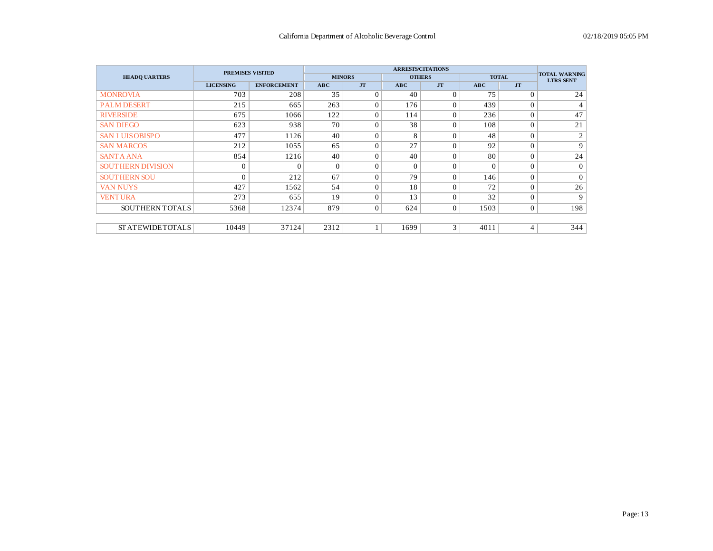|                           | <b>PREMISES VISITED</b> |                    |            |               | <b>TOTAL WARNING</b> |                |          |                  |                  |
|---------------------------|-------------------------|--------------------|------------|---------------|----------------------|----------------|----------|------------------|------------------|
| <b>HEADO UARTERS</b>      |                         |                    |            | <b>MINORS</b> |                      | <b>OTHERS</b>  |          | <b>TOTAL</b>     | <b>LTRS SENT</b> |
|                           | <b>LICENSING</b>        | <b>ENFORCEMENT</b> | <b>ABC</b> | <b>JT</b>     | ABC                  | <b>JT</b>      | ABC      | <b>JT</b>        |                  |
| <b>MONROVIA</b>           | 703                     | 208                | 35         | $\Omega$      | 40                   | $\Omega$       | 75       | $\Omega$         | 24               |
| <b>PALM DESERT</b>        | 215                     | 665                | 263        | $\Omega$      | 176                  | $\Omega$       | 439      | $\overline{0}$   | 4                |
| <b>RIVERSIDE</b>          | 675                     | 1066               | 122        | $\Omega$      | 114                  | $\Omega$       | 236      | $\overline{0}$   | 47               |
| <b>SAN DIEGO</b>          | 623                     | 938                | 70         | $\Omega$      | 38                   | $\Omega$       | 108      | $\overline{0}$   | 21               |
| <b>SAN LUISOBISPO</b>     | 477                     | 1126               | 40         | $\Omega$      | 8                    | $\theta$       | 48       | $\overline{0}$   | $\overline{2}$   |
| <b>SAN MARCOS</b>         | 212                     | 1055               | 65         | $\theta$      | 27                   | $\theta$       | 92       | $\overline{0}$   | 9                |
| <b>SANTA ANA</b>          | 854                     | 1216               | 40         | $\Omega$      | 40                   | $\theta$       | 80       | $\overline{0}$   | 24               |
| <b>SOUT HERN DIVISION</b> | $\overline{0}$          | $\Omega$           | $\Omega$   | $\Omega$      | $\Omega$             | $\theta$       | $\theta$ | $\theta$         | $\Omega$         |
| <b>SOUTHERN SOU</b>       | $\Omega$                | 212                | 67         | $\Omega$      | 79                   | $\Omega$       | 146      | $\overline{0}$   | $\Omega$         |
| <b>VAN NUYS</b>           | 427                     | 1562               | 54         | $\Omega$      | 18                   | $\Omega$       | 72       | $\theta$         | 26               |
| <b>VENTURA</b>            | 273                     | 655                | 19         | $\Omega$      | 13                   | $\theta$       | 32       | $\overline{0}$   | 9                |
| SOUTHERN TOTALS           | 5368                    | 12374              | 879        | $\mathbf{0}$  | 624                  | $\overline{0}$ | 1503     | $\boldsymbol{0}$ | 198              |
|                           |                         |                    |            |               |                      |                |          |                  |                  |
| <b>STATEWIDETOTALS</b>    | 10449                   | 37124              | 2312       |               | 1699                 | 3              | 4011     | 4                | 344              |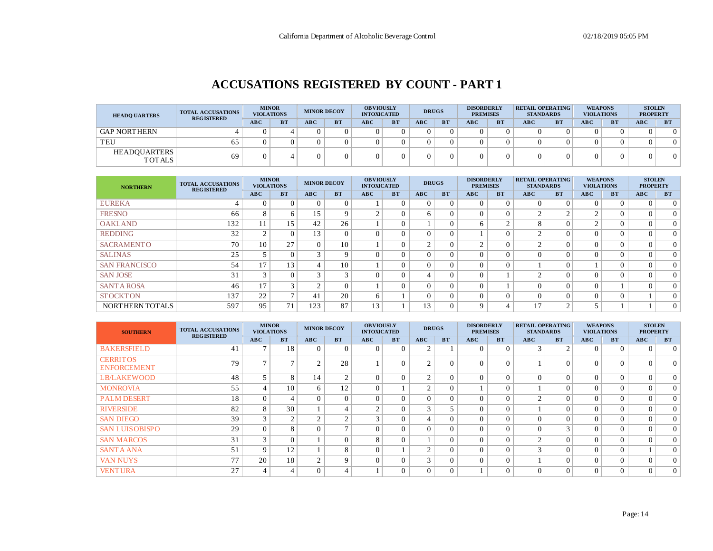## **ACCUSATIONS REGISTERED BY COUNT - PART 1**

| <b>HEADO UARTERS</b>                 | <b>TOTAL ACCUSATIONS</b><br><b>REGISTERED</b> |            | <b>MINOR</b><br><b>VIOLATIONS</b> | <b>MINOR DECOY</b> |           | <b>OBVIOUSLY</b><br><b>INTOXICATED</b> |           |     | <b>DRUGS</b> | <b>DISORDERLY</b><br><b>PREMISES</b> |           | <b>RETAIL OPERATING</b><br><b>STANDARDS</b> |           | <b>WEAPONS</b><br><b>VIOLATIONS</b> |           | <b>STOLEN</b><br><b>PROPERTY</b> |           |
|--------------------------------------|-----------------------------------------------|------------|-----------------------------------|--------------------|-----------|----------------------------------------|-----------|-----|--------------|--------------------------------------|-----------|---------------------------------------------|-----------|-------------------------------------|-----------|----------------------------------|-----------|
|                                      |                                               | <b>ABC</b> | <b>BT</b>                         | ABC                | <b>BT</b> | <b>ABC</b>                             | <b>BT</b> | ABC | <b>BT</b>    | <b>ABC</b>                           | <b>BT</b> | <b>ABC</b>                                  | <b>BT</b> | <b>ABC</b>                          | <b>BT</b> | <b>ABC</b>                       | <b>BT</b> |
| <b>GAP NORTHERN</b>                  |                                               |            |                                   |                    |           |                                        |           |     |              |                                      |           |                                             |           |                                     |           |                                  | $\Omega$  |
| TEU                                  | 65                                            |            |                                   |                    |           |                                        |           |     |              |                                      |           |                                             |           |                                     |           |                                  | $\Omega$  |
| <b>HEADOUARTERS</b><br><b>TOTALS</b> | 69                                            |            |                                   |                    |           |                                        |           |     |              |                                      |           |                                             |           |                                     |           |                                  | $\Omega$  |

| <b>NORTHERN</b>      | <b>TOTAL ACCUSATIONS</b><br><b>REGISTERED</b> | <b>MINOR</b><br><b>VIOLATIONS</b> |              | <b>MINOR DECOY</b> |           | <b>OBVIOUSLY</b><br><b>INTOXICATED</b> |           | <b>DRUGS</b>   |           | <b>DISORDERLY</b><br><b>PREMISES</b> |           | <b>RETAIL OPERATING</b><br><b>STANDARDS</b> |           | <b>WEAPONS</b><br><b>VIOLATIONS</b> |           | <b>STOLEN</b><br><b>PROPERTY</b> |                |
|----------------------|-----------------------------------------------|-----------------------------------|--------------|--------------------|-----------|----------------------------------------|-----------|----------------|-----------|--------------------------------------|-----------|---------------------------------------------|-----------|-------------------------------------|-----------|----------------------------------|----------------|
|                      |                                               | ABC                               | <b>BT</b>    | ABC                | <b>BT</b> | ABC                                    | <b>BT</b> | ABC            | <b>BT</b> | <b>ABC</b>                           | <b>BT</b> | ABC                                         | <b>BT</b> | ABC                                 | <b>BT</b> | <b>ABC</b>                       | <b>BT</b>      |
| <b>EUREKA</b>        |                                               | $\Omega$                          |              | $\Omega$           | $\Omega$  |                                        | 0         | $\Omega$       | $\Omega$  | 0                                    | $\Omega$  | $\Omega$                                    | $\Omega$  | $\Omega$                            | $\Omega$  |                                  | $\Omega$       |
| <b>FRESNO</b>        | 66                                            | 8                                 |              | 15                 | 9         | $\sim$                                 | 0         | 6              | $\Omega$  | 0                                    |           | $\sim$                                      | $\sim$    | $\sim$                              |           |                                  | $\Omega$       |
| <b>OAKLAND</b>       | 132                                           | 11                                | 15           | 42                 | 26        |                                        |           |                | $\Omega$  | 6                                    | $\sim$    | $\circ$<br>$\Delta$                         | $\Omega$  | $\sim$                              |           |                                  | $\Omega$       |
| <b>REDDING</b>       | 32                                            | $\bigcap$                         |              | 13                 | $\Omega$  | 0                                      |           | $\theta$       | $\Omega$  |                                      |           | $\sim$                                      | $\Omega$  | $\Omega$                            |           |                                  | $\Omega$       |
| <b>SACRAMENTO</b>    | 70                                            | 10                                | 27           | $\Omega$           | 10        |                                        |           | $\overline{2}$ | $\Omega$  | $\sim$                               | $\Omega$  | $\sim$                                      | $\Omega$  | $\Omega$                            | $\Omega$  |                                  | $\Omega$       |
| <b>SALINAS</b>       | 25                                            |                                   |              | 3                  | 9         | $\Omega$                               |           | $\Omega$       | $\Omega$  |                                      |           |                                             | $\Omega$  | $\Omega$                            |           |                                  | $\Omega$       |
| <b>SAN FRANCISCO</b> | 54                                            | 17                                | 13           | $\overline{4}$     | 10        |                                        |           | $\theta$       | $\Omega$  | $\Omega$                             |           |                                             | $\Omega$  |                                     |           |                                  | $\overline{0}$ |
| <b>SAN JOSE</b>      | 31                                            | 3                                 |              | 3                  | 3         | $\Omega$                               |           | 4              | $\Omega$  | 0                                    |           | $\sim$                                      | $\Omega$  | $\Omega$                            | $\Omega$  |                                  | $\Omega$       |
| <b>SANT A ROSA</b>   | 46                                            | 17                                | $\sim$       | $\overline{2}$     | $\Omega$  |                                        |           | $\theta$       | $\Omega$  | 0                                    |           |                                             | $\Omega$  | $\Omega$                            |           |                                  | $\Omega$       |
| <b>STOCKTON</b>      | 137                                           | 22                                | $\mathbf{r}$ | 41                 | 20        | 6                                      |           | $\Omega$       | $\Omega$  | 0                                    |           |                                             | $\Omega$  | $\Omega$                            | $\Omega$  |                                  | $\Omega$       |
| NORTHERN TOTALS      | 597                                           | 95                                | 71           | 123                | 87        | 13                                     |           | 13             | $\Omega$  | Q                                    |           | 17<br>$\perp$                               | $\sim$    |                                     |           |                                  | 0 <sup>1</sup> |

| <b>SOUTHERN</b><br><b>REGISTERED</b>  | <b>TOTAL ACCUSATIONS</b> |               | <b>MINOR</b><br><b>VIOLATIONS</b> | <b>MINOR DECOY</b> |                | <b>OBVIOUSLY</b><br><b>INTOXICATED</b> |           | <b>DRUGS</b> |              | <b>DISORDERLY</b><br><b>PREMISES</b> |           | <b>RETAIL OPERATING</b><br><b>STANDARDS</b> |           | <b>WEAPONS</b><br><b>VIOLATIONS</b> |           | <b>STOLEN</b><br><b>PROPERTY</b> |                |
|---------------------------------------|--------------------------|---------------|-----------------------------------|--------------------|----------------|----------------------------------------|-----------|--------------|--------------|--------------------------------------|-----------|---------------------------------------------|-----------|-------------------------------------|-----------|----------------------------------|----------------|
|                                       |                          | <b>ABC</b>    | <b>BT</b>                         | ABC                | <b>BT</b>      | ABC                                    | <b>BT</b> | ABC          | <b>BT</b>    | ABC                                  | <b>BT</b> | ABC                                         | <b>BT</b> | ABC                                 | <b>BT</b> | ABC                              | <b>BT</b>      |
| <b>BAKERSFIELD</b>                    | 41                       |               | 18                                | $\Omega$           | $\Omega$       | $\Omega$                               |           | $\sim$       |              | $\Omega$                             | $\Omega$  |                                             | 2         | $\Omega$                            | $\Omega$  | $\Omega$                         | $\overline{0}$ |
| <b>CERRITOS</b><br><b>ENFORCEMENT</b> | 79                       |               |                                   | $\overline{2}$     | 28             |                                        |           | $\sim$       | $\mathbf{0}$ |                                      |           |                                             | $\theta$  | $\theta$                            |           |                                  | 0 <sup>1</sup> |
| <b>LB/LAKEWOOD</b>                    | 48                       |               | 8                                 | 14                 | $\mathcal{L}$  | $\Omega$                               | $\Omega$  | $\sim$       | $\Omega$     | $\Omega$                             | $\Omega$  |                                             | $\theta$  | $\Omega$                            | $\Omega$  |                                  | $\Omega$       |
| <b>MONROVIA</b>                       | 55                       |               | 10                                | 6                  | 12             | $\theta$                               |           | $\bigcap$    | $\Omega$     |                                      | $\Omega$  |                                             | $\Omega$  | $\Omega$                            | $\Omega$  |                                  | $\overline{0}$ |
| <b>PALM DESERT</b>                    | 18                       | $\Omega$      |                                   | $\Omega$           | $\Omega$       | $\Omega$                               | $\Omega$  | $\Omega$     | $\Omega$     | $\Omega$                             | $\Omega$  | $\sim$                                      | $\Omega$  | $\theta$                            | $\Omega$  |                                  | $\overline{0}$ |
| <b>RIVERSIDE</b>                      | 82                       | 8             | 30                                |                    | 4              | $\sim$                                 | $\Omega$  | 3            |              | $\Omega$                             | $\Omega$  |                                             | $\Omega$  | $\Omega$                            | $\Omega$  |                                  | $\overline{0}$ |
| <b>SAN DIEGO</b>                      | 39                       |               |                                   | 2                  | $\sim$         | $\sim$                                 | $\Omega$  | 4            | $\Omega$     | $\Omega$                             | $\Omega$  |                                             | $\Omega$  | $\Omega$                            | $\Omega$  |                                  | $\overline{0}$ |
| <b>SAN LUISOBISPO</b>                 | 29                       | $\Omega$      |                                   | $\Omega$           | $\overline{ }$ | $\Omega$                               | $\Omega$  | $\Omega$     | $\Omega$     | $\Omega$                             | $\Omega$  | $\Omega$                                    | 3         | $\Omega$                            | $\Omega$  |                                  | $\overline{0}$ |
| <b>SAN MARCOS</b>                     | 31                       | $\mathcal{R}$ | $\Omega$                          |                    | $\Omega$       | 8                                      | $\Omega$  |              | $\Omega$     | $\Omega$                             | $\Omega$  | $\sim$                                      | $\Omega$  | $\Omega$                            | $\Omega$  |                                  | $\overline{0}$ |
| <b>SANTA ANA</b>                      | 51                       | $\mathbf Q$   | 12                                |                    | 8              | $\Omega$                               |           | 2            | $\Omega$     | $\Omega$                             | $\Omega$  |                                             | $\Omega$  | $\Omega$                            | $\Omega$  |                                  | $\overline{0}$ |
| <b>VAN NUYS</b>                       | 77                       | 20            | 18                                | 2                  | 9              | $\Omega$                               | $\Omega$  | 3            | $\Omega$     | $\Omega$                             | $\Omega$  |                                             | $\theta$  | $\theta$                            | $\Omega$  |                                  | $\overline{0}$ |
| <b>VENTURA</b>                        | 27                       |               | $\overline{4}$                    | $\Omega$           | 4              |                                        | $\Omega$  | $\Omega$     | $\Omega$     |                                      | $\Omega$  | $\Omega$                                    | $\Omega$  | $\Omega$                            | $\Omega$  | $\Omega$                         | $\overline{0}$ |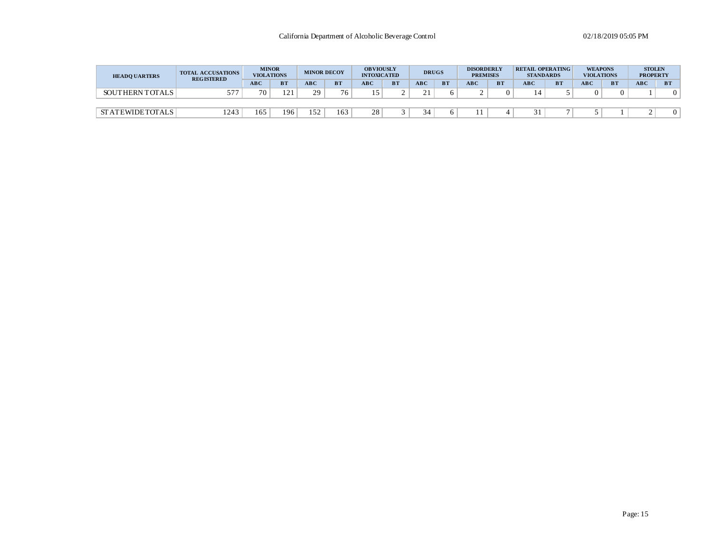| <b>HEADO UARTERS</b> |                        | <b>TOTAL ACCUSATIONS</b><br><b>REGISTERED</b> | <b>MINOR</b><br><b>VIOLATIONS</b> |           | <b>MINOR DECOY</b> |           | <b>OBVIOUSLY</b><br><b>INTOXICATED</b> |           | <b>DRUGS</b> |           | <b>DISORDERLY</b><br><b>PREMISES</b> |           | <b>RETAIL OPERATING</b><br><b>STANDARDS</b> |           | <b>WEAPONS</b><br><b>VIOLATIONS</b> |           | <b>STOLEN</b><br><b>PROPERTY</b> |           |
|----------------------|------------------------|-----------------------------------------------|-----------------------------------|-----------|--------------------|-----------|----------------------------------------|-----------|--------------|-----------|--------------------------------------|-----------|---------------------------------------------|-----------|-------------------------------------|-----------|----------------------------------|-----------|
|                      |                        |                                               | <b>ABC</b>                        | <b>BT</b> | <b>ABC</b>         | <b>BT</b> | <b>ABC</b>                             | <b>BT</b> | <b>ABC</b>   | <b>BT</b> | ABC                                  | <b>BT</b> | <b>ABC</b>                                  | <b>BT</b> | <b>ABC</b>                          | <b>BT</b> | <b>ABC</b>                       | <b>BT</b> |
|                      | <b>SOUTHERN TOTALS</b> | 57'                                           | 70                                | c         | 29                 | 76.       |                                        |           | 21<br>- -    |           |                                      |           |                                             |           |                                     | 0         |                                  |           |
|                      |                        |                                               |                                   |           |                    |           |                                        |           |              |           |                                      |           |                                             |           |                                     |           |                                  |           |
|                      | <b>STATEWIDETOTALS</b> | 1243                                          | 165                               | 196       | 152                | 163       | 28                                     |           | 34           |           |                                      |           |                                             |           |                                     |           |                                  |           |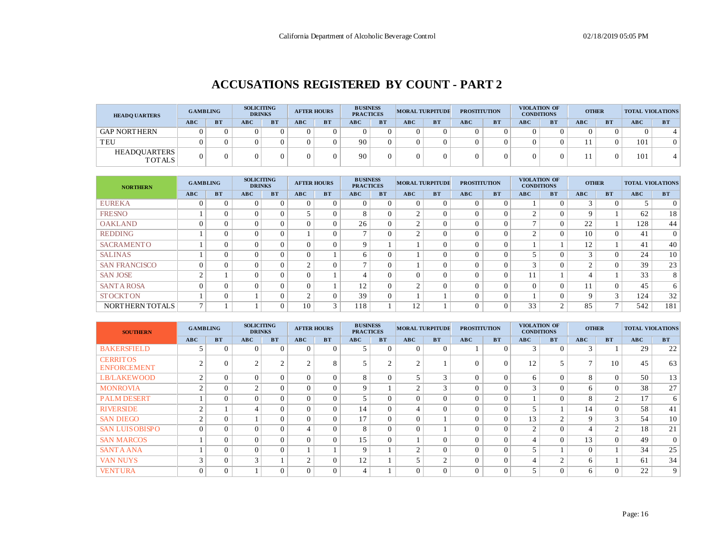#### **ACCUSATIONS REGISTERED BY COUNT - PART 2**

| <b>HEADQ UARTERS</b>                 | <b>GAMBLING</b> |           | <b>SOLICITING</b><br><b>DRINKS</b> |           |            | <b>AFTER HOURS</b> | <b>BUSINESS</b><br><b>PRACTICES</b> |           |     | <b>MORAL TURPITUDE</b> | <b>PROSTITUTION</b> |           |     | VIOLATION OF<br><b>CONDITIONS</b> | <b>OTHER</b> |           | <b>TOTAL VIOLATIONS</b> |           |
|--------------------------------------|-----------------|-----------|------------------------------------|-----------|------------|--------------------|-------------------------------------|-----------|-----|------------------------|---------------------|-----------|-----|-----------------------------------|--------------|-----------|-------------------------|-----------|
|                                      | <b>ABC</b>      | <b>BT</b> | ABC                                | <b>BT</b> | <b>ABC</b> | <b>BT</b>          | <b>ABC</b>                          | <b>BT</b> | ABC | <b>BT</b>              | ABC                 | <b>BT</b> | ABC | <b>BT</b>                         | ABC          | <b>BT</b> | <b>ABC</b>              | <b>BT</b> |
| <b>GAP NORTHERN</b>                  |                 |           |                                    |           |            |                    |                                     |           |     |                        |                     |           |     |                                   |              |           |                         |           |
| TEU                                  |                 |           |                                    |           |            |                    | 90                                  |           |     |                        |                     |           |     |                                   |              |           | 101                     |           |
| <b>HEADOUARTERS</b><br><b>TOTALS</b> |                 |           |                                    |           |            |                    | 90                                  |           |     |                        |                     |           |     |                                   |              |           | 101                     |           |

| <b>NORTHERN</b>      | <b>GAMBLING</b> |           | <b>SOLICITING</b><br><b>DRINKS</b> |           | <b>AFTER HOURS</b> |           | <b>BUSINESS</b><br><b>PRACTICES</b> |           | <b>MORAL TURPITUDE</b> |           | <b>PROSTITUTION</b> |           | VIOLATION OF<br><b>CONDITIONS</b> |           | <b>OTHER</b> |                | <b>TOTAL VIOLATIONS</b> |                 |
|----------------------|-----------------|-----------|------------------------------------|-----------|--------------------|-----------|-------------------------------------|-----------|------------------------|-----------|---------------------|-----------|-----------------------------------|-----------|--------------|----------------|-------------------------|-----------------|
|                      | ABC             | <b>BT</b> | <b>ABC</b>                         | <b>BT</b> | ABC                | <b>BT</b> | ABC                                 | <b>BT</b> | <b>ABC</b>             | <b>BT</b> | <b>ABC</b>          | <b>BT</b> | ABC                               | <b>BT</b> | <b>ABC</b>   | <b>BT</b>      | ABC                     | <b>BT</b>       |
| <b>EUREKA</b>        |                 | $\Omega$  | $\Omega$                           |           |                    | $\Omega$  | $\Omega$                            | $\Omega$  |                        | $\Omega$  | $\Omega$            | $\Omega$  |                                   |           |              |                | 5                       | 0 <sup>1</sup>  |
| <b>FRESNO</b>        |                 | $\Omega$  | $\Omega$                           | $\Omega$  |                    | $\Omega$  | 8                                   | $\Omega$  | $\sim$                 |           |                     | $\Omega$  | $\sim$                            | $\Omega$  | $\Omega$     |                | 62                      | 18 <sup>1</sup> |
| <b>OAKLAND</b>       | $\Omega$        | $\Omega$  | $\Omega$                           | $\Omega$  |                    | $\theta$  | 26                                  | $\Omega$  | $\sim$                 | $\Omega$  | $\Omega$            | $\Omega$  | $\overline{ }$                    |           | 22           |                | 128                     | 44              |
| <b>REDDING</b>       |                 | $\Omega$  | $\Omega$                           | $\Omega$  |                    | $\theta$  | $\overline{ }$                      | $\Omega$  | $\sim$                 | $\Omega$  | $\Omega$            | $\theta$  | $\sim$                            |           | 10           | $\Omega$       | 41                      | $\overline{0}$  |
| <b>SACRAMENTO</b>    |                 | $\theta$  | $\Omega$                           | $\Omega$  |                    | $\theta$  | $\mathbf Q$                         |           |                        | $\Omega$  |                     | $\theta$  |                                   |           | 12           |                | 41                      | 40              |
| <b>SALINAS</b>       |                 | $\Omega$  | $\Omega$                           | $\Omega$  |                    |           | 6                                   | $\Omega$  |                        |           |                     | $\Omega$  | $\overline{a}$                    | $\Omega$  | $\sim$       |                | 24                      | 10 <sup>1</sup> |
| <b>SAN FRANCISCO</b> | $\Omega$        | $\Omega$  | $\Omega$                           |           | $\sim$             | $\Omega$  | $\overline{ }$                      | $\Omega$  |                        |           |                     | $\Omega$  | $\sim$                            |           |              |                | 39                      | 23              |
| <b>SAN JOSE</b>      | $\sim$          |           | $\Omega$                           | $\Omega$  |                    |           | 4                                   | $\Omega$  |                        | $\Omega$  | $\Omega$            | $\Omega$  |                                   |           |              |                | 33                      | 8 <sup>1</sup>  |
| <b>SANT A ROSA</b>   | $\Omega$        | $\Omega$  | $\Omega$                           | $\Omega$  |                    |           | 12                                  | $\Omega$  | $\sim$                 |           | $\Omega$            | $\Omega$  | $\Omega$                          |           | 11           | $\Omega$       | 45                      | 6               |
| <b>STOCKTON</b>      |                 | $\Omega$  |                                    |           |                    | $\Omega$  | 39                                  | $\Omega$  |                        |           | $\Omega$            | $\Omega$  |                                   |           | $\Omega$     | 3              | 124                     | 32              |
| NORTHERN TOTALS      | $\mathbf{r}$    |           |                                    | $\Omega$  | 10                 | 3         | 118                                 |           | 12                     |           | $\Omega$            | $\Omega$  | 33                                | $\sim$    | 85           | $\overline{ }$ | 542                     | 181             |

| <b>SOUTHERN</b>                       | <b>GAMBLING</b> |           | <b>SOLICITING</b><br><b>DRINKS</b> |           |          | <b>AFTER HOURS</b> | <b>BUSINESS</b><br><b>PRACTICES</b> |           | <b>MORAL TURPITUDE</b> |               | <b>PROSTITUTION</b> |           | <b>CONDITIONS</b> | VIOLATION OF  | <b>OTHER</b> |           | <b>TOTAL VIOLATIONS</b> |                 |
|---------------------------------------|-----------------|-----------|------------------------------------|-----------|----------|--------------------|-------------------------------------|-----------|------------------------|---------------|---------------------|-----------|-------------------|---------------|--------------|-----------|-------------------------|-----------------|
|                                       | ABC             | <b>BT</b> | ABC                                | <b>BT</b> | ABC      | <b>BT</b>          | ABC                                 | <b>BT</b> | ABC                    | <b>BT</b>     | ABC                 | <b>BT</b> | ABC               | <b>BT</b>     | ABC          | <b>BT</b> | ABC                     | <b>BT</b>       |
| <b>BAKERSFIELD</b>                    |                 | $\Omega$  | $\Omega$                           |           | $\Omega$ | $\theta$           | 5                                   | $\Omega$  | $\Omega$               | $\Omega$      |                     | $\Omega$  | $\sim$            | $\Omega$      | $\sim$       |           | 29                      | 22              |
| <b>CERRITOS</b><br><b>ENFORCEMENT</b> |                 |           | $\sim$                             |           |          | 8                  |                                     |           |                        |               | $\theta$            | $\Omega$  | 12                |               |              | 10        | 45                      | 63              |
| <b>LB/LAKEWOOD</b>                    | $\mathcal{L}$   | $\Omega$  | $\Omega$                           | $\Omega$  | $\Omega$ | $\theta$           | 8                                   | $\Omega$  |                        | 3             | $\Omega$            | $\Omega$  | 6                 | $\Omega$      | 8            | $\Omega$  | 50                      | 13              |
| <b>MONROVIA</b>                       | $\bigcap$       | $\Omega$  | 2                                  | $\Omega$  |          | $\Omega$           | 9                                   |           | $\sim$                 | $\mathcal{R}$ | $\Omega$            | $\Omega$  | 3                 | $\Omega$      | h            | $\Omega$  | 38                      | 27              |
| <b>PALM DESERT</b>                    |                 | $\Omega$  | $\Omega$                           | $\Omega$  | $\Omega$ | $\Omega$           | 5                                   | $\Omega$  |                        | $\Omega$      | $\Omega$            | $\Omega$  |                   | $\Omega$      |              | 2         | 17                      | 6               |
| <b>RIVERSIDE</b>                      | $\mathcal{L}$   |           | 4                                  | $\Omega$  |          | $\theta$           | 14                                  | $\Omega$  |                        | $\Omega$      | $\Omega$            | $\Omega$  | 5                 |               | 14           | $\Omega$  | 58                      | 41              |
| <b>SAN DIEGO</b>                      | $\bigcap$       | $\Omega$  |                                    |           |          | $\theta$           | 17                                  | $\Omega$  |                        |               | $\Omega$            | $\Omega$  | 13                | $\gamma$      |              | 3         | 54                      | 10 <sub>1</sub> |
| <b>SAN LUISOBISPO</b>                 | $\Omega$        | $\Omega$  | $\Omega$                           | $\Omega$  |          | $\theta$           | 8                                   | $\Omega$  |                        |               | $\Omega$            | $\Omega$  | $\gamma$          | $\Omega$      |              | 2         | 18                      | 21              |
| <b>SAN MARCOS</b>                     |                 | $\Omega$  | $\Omega$                           | $\Omega$  |          | $\Omega$           | 15                                  | $\Omega$  |                        | $\Omega$      | $\Omega$            | $\Omega$  | 4                 | $\Omega$      | 13           | $\Omega$  | 49                      | 0 <sup>1</sup>  |
| <b>SANTA ANA</b>                      |                 | $\Omega$  | $\Omega$                           | $\Omega$  |          |                    | 9                                   |           | $\sim$                 | $\Omega$      | $\Omega$            | $\Omega$  | 5                 |               | $\Omega$     |           | 34                      | 25              |
| <b>VAN NUYS</b>                       | $\sim$          | $\Omega$  | 3                                  |           | $\sim$   | $\Omega$           | 12                                  |           |                        | $\sim$        | $\Omega$            | $\Omega$  | 4                 | $\mathcal{L}$ | 6            |           | 61                      | 34              |
| <b>VENTURA</b>                        | $\Omega$        | $\Omega$  |                                    | $\Omega$  | 0        | $\Omega$           | $\overline{4}$                      |           | 0                      | $\Omega$      | $\theta$            | $\Omega$  | 5                 | $\Omega$      | 6            | $\Omega$  | 22                      | 9 <sup>°</sup>  |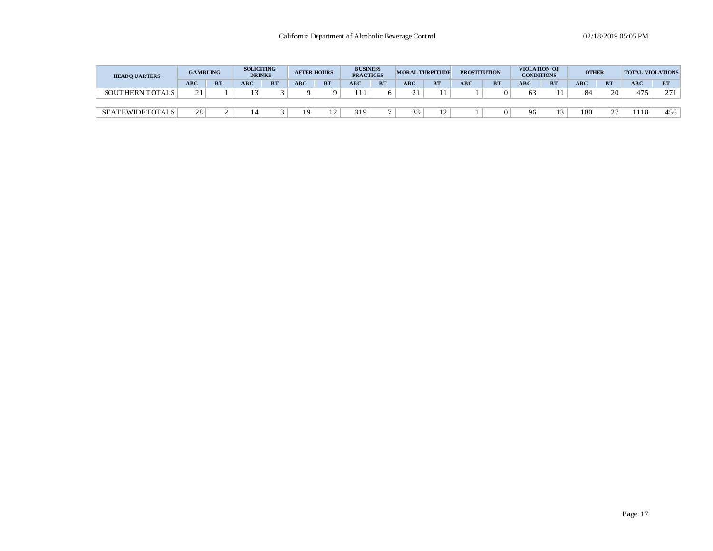| <b>HEADO UARTERS</b>   | <b>GAMBLING</b> |           | <b>SOLICITING</b><br><b>DRINKS</b> |           | <b>AFTER HOURS</b> |           | <b>BUSINESS</b><br><b>PRACTICES</b> |           |            | <b>MORAL TURPITUDE</b> | <b>PROSTITUTION</b> |           | <b>CONDITIONS</b> | VIOLATION OF | <b>OTHER</b> |           | <b>TOTAL VIOLATIONS</b> |           |
|------------------------|-----------------|-----------|------------------------------------|-----------|--------------------|-----------|-------------------------------------|-----------|------------|------------------------|---------------------|-----------|-------------------|--------------|--------------|-----------|-------------------------|-----------|
|                        | <b>ABC</b>      | <b>BT</b> | ABC                                | <b>BT</b> | <b>ABC</b>         | <b>BT</b> | <b>ABC</b>                          | <b>BT</b> | <b>ABC</b> | <b>BT</b>              | <b>ABC</b>          | <b>BT</b> | <b>ABC</b>        | <b>BT</b>    | <b>ABC</b>   | <b>BT</b> | <b>ABC</b>              | <b>BT</b> |
| SOUTHERN TOTALS        | 21              |           |                                    |           |                    |           | 111                                 |           |            |                        |                     |           |                   |              |              | 20        | 475                     | 271       |
|                        |                 |           |                                    |           |                    |           |                                     |           |            |                        |                     |           |                   |              |              |           |                         |           |
| <b>STATEWIDETOTALS</b> | 28              |           |                                    |           | 9                  |           | 319                                 |           |            |                        |                     |           | 96                |              | 180          | 27<br>∼   | 118                     | 456       |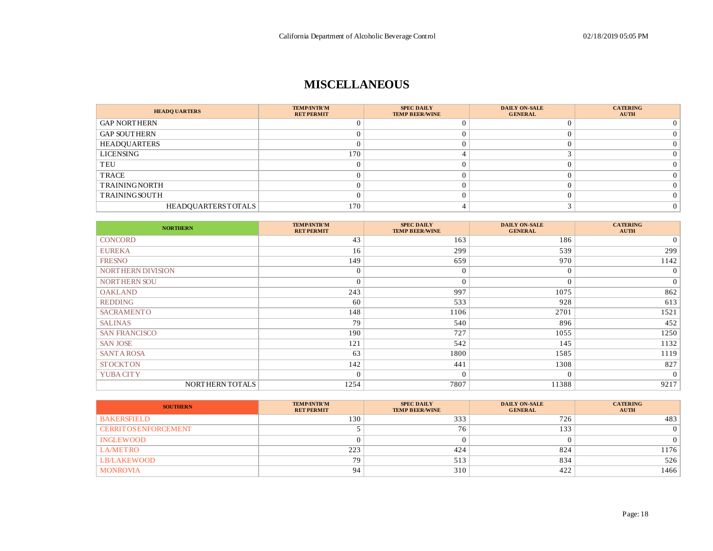## **MISCELLANEOUS**

| <b>HEADQ UARTERS</b> | <b>TEMP/INTR'M</b><br><b>RET PERMIT</b> | <b>SPEC DAILY</b><br><b>TEMP BEER/WINE</b> | <b>DAILY ON-SALE</b><br><b>GENERAL</b> | <b>CATERING</b><br><b>AUTH</b> |
|----------------------|-----------------------------------------|--------------------------------------------|----------------------------------------|--------------------------------|
| <b>GAP NORTHERN</b>  |                                         |                                            |                                        |                                |
| <b>GAP SOUTHERN</b>  |                                         |                                            |                                        |                                |
| <b>HEADQUARTERS</b>  |                                         |                                            |                                        |                                |
| LICENSING            | 170                                     |                                            |                                        |                                |
| TEU                  |                                         |                                            |                                        |                                |
| TRACE                |                                         |                                            |                                        |                                |
| <b>TRAININGNORTH</b> |                                         |                                            |                                        |                                |
| <b>TRAININGSOUTH</b> |                                         |                                            |                                        |                                |
| HEADOUARTERSTOTALS   | 170                                     |                                            |                                        |                                |

| <b>NORTHERN</b>      | <b>TEMP/INTR'M</b><br><b>RET PERMIT</b> | <b>SPEC DAILY</b><br><b>TEMP BEER/WINE</b> | <b>DAILY ON-SALE</b><br><b>GENERAL</b> | <b>CATERING</b><br><b>AUTH</b> |
|----------------------|-----------------------------------------|--------------------------------------------|----------------------------------------|--------------------------------|
| <b>CONCORD</b>       | 43                                      | 163                                        | 186                                    | $\overline{0}$                 |
| <b>EUREKA</b>        | 16                                      | 299                                        | 539                                    | 299                            |
| <b>FRESNO</b>        | 149                                     | 659                                        | 970                                    | 1142                           |
| NORTHERN DIVISION    | $\Omega$                                | $\Omega$                                   | $\overline{0}$                         | $\overline{0}$                 |
| NORTHERN SOU         | $\Omega$                                | 0                                          | $\overline{0}$                         | $\overline{0}$                 |
| <b>OAKLAND</b>       | 243                                     | 997                                        | 1075                                   | 862                            |
| <b>REDDING</b>       | 60                                      | 533                                        | 928                                    | 613                            |
| <b>SACRAMENTO</b>    | 148                                     | 1106                                       | 2701                                   | 1521                           |
| <b>SALINAS</b>       | 79                                      | 540                                        | 896                                    | 452                            |
| <b>SAN FRANCISCO</b> | 190                                     | 727                                        | 1055                                   | 1250                           |
| <b>SAN JOSE</b>      | 121                                     | 542                                        | 145                                    | 1132                           |
| <b>SANT A ROSA</b>   | 63                                      | 1800                                       | 1585                                   | 1119                           |
| <b>STOCKTON</b>      | 142                                     | 441                                        | 1308                                   | 827                            |
| YUBA CITY            | $\Omega$                                | $\Omega$                                   | $\overline{0}$                         | $\overline{0}$                 |
| NORTHERN TOTALS      | 1254                                    | 7807                                       | 11388                                  | 9217                           |

| <b>SOUTHERN</b>              | <b>TEMP/INTR'M</b><br><b>RET PERMIT</b> | <b>SPEC DAILY</b><br><b>TEMP BEER/WINE</b> | <b>DAILY ON-SALE</b><br><b>GENERAL</b> | <b>CATERING</b><br><b>AUTH</b> |
|------------------------------|-----------------------------------------|--------------------------------------------|----------------------------------------|--------------------------------|
| <b>BAKERSFIELD</b>           | 130                                     | 333                                        | 726                                    | 483                            |
| <b>CERRIT OS ENFORCEMENT</b> |                                         | 76                                         | 133                                    |                                |
| <b>INGLEWOOD</b>             |                                         |                                            |                                        |                                |
| <b>LA/METRO</b>              | 223                                     | 424                                        | 824                                    | 1176                           |
| <b>LB/LAKEWOOD</b>           | 79                                      | 513                                        | 834                                    | 526                            |
| <b>MONROVIA</b>              | 94                                      | 310                                        | 422                                    | 1466                           |